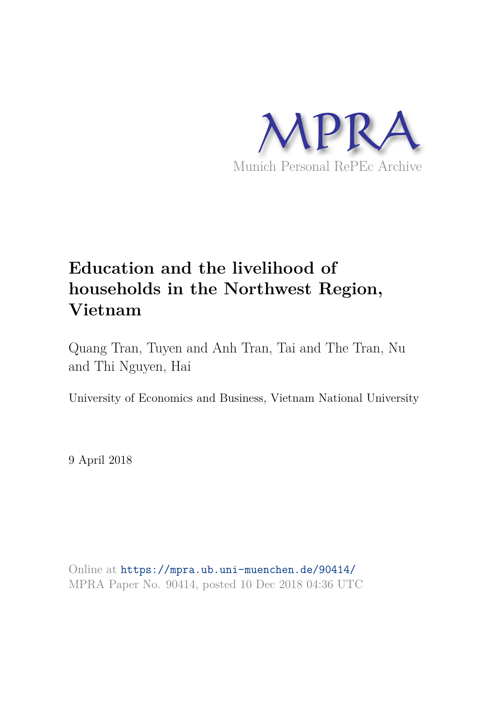

# **Education and the livelihood of households in the Northwest Region, Vietnam**

Quang Tran, Tuyen and Anh Tran, Tai and The Tran, Nu and Thi Nguyen, Hai

University of Economics and Business, Vietnam National University

9 April 2018

Online at https://mpra.ub.uni-muenchen.de/90414/ MPRA Paper No. 90414, posted 10 Dec 2018 04:36 UTC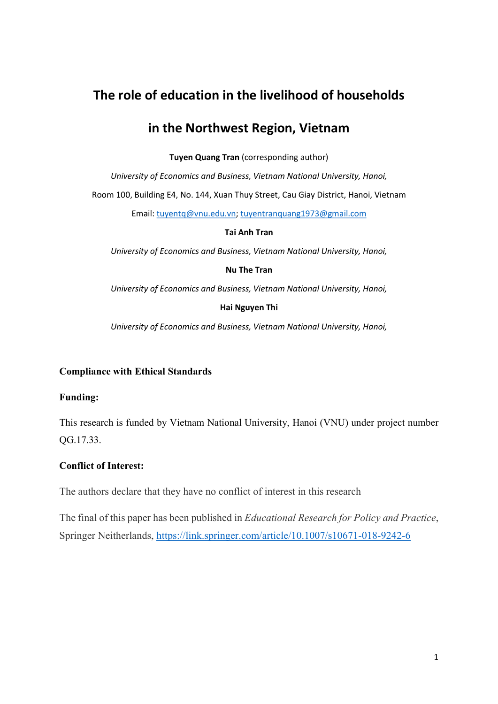# The role of education in the livelihood of households

# in the Northwest Region, Vietnam

Tuyen Quang Tran (corresponding author)

University of Economics and Business, Vietnam National University, Hanoi,

Room 100, Building E4, No. 144, Xuan Thuy Street, Cau Giay District, Hanoi, Vietnam

Email: tuyentq@vnu.edu.vn; tuyentranquang1973@gmail.com

Tai Anh Tran

University of Economics and Business, Vietnam National University, Hanoi,

#### Nu The Tran

University of Economics and Business, Vietnam National University, Hanoi,

#### Hai Nguyen Thi

University of Economics and Business, Vietnam National University, Hanoi,

### Compliance with Ethical Standards

#### Funding:

This research is funded by Vietnam National University, Hanoi (VNU) under project number QG.17.33.

### Conflict of Interest:

The authors declare that they have no conflict of interest in this research

The final of this paper has been published in Educational Research for Policy and Practice, Springer Neitherlands, https://link.springer.com/article/10.1007/s10671-018-9242-6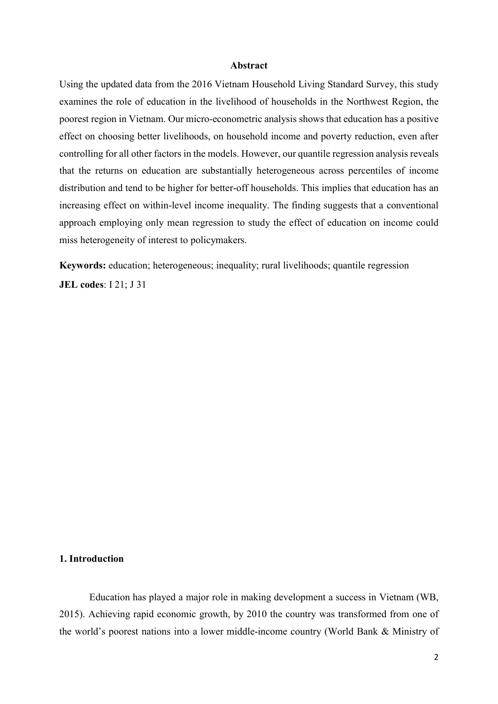#### Abstract

Using the updated data from the 2016 Vietnam Household Living Standard Survey, this study examines the role of education in the livelihood of households in the Northwest Region, the poorest region in Vietnam. Our micro-econometric analysis shows that education has a positive effect on choosing better livelihoods, on household income and poverty reduction, even after controlling for all other factors in the models. However, our quantile regression analysis reveals that the returns on education are substantially heterogeneous across percentiles of income distribution and tend to be higher for better-off households. This implies that education has an increasing effect on within-level income inequality. The finding suggests that a conventional approach employing only mean regression to study the effect of education on income could miss heterogeneity of interest to policymakers.

Keywords: education; heterogeneous; inequality; rural livelihoods; quantile regression JEL codes: I 21; J 31

#### 1. Introduction

Education has played a major role in making development a success in Vietnam (WB, 2015). Achieving rapid economic growth, by 2010 the country was transformed from one of the world's poorest nations into a lower middle-income country (World Bank & Ministry of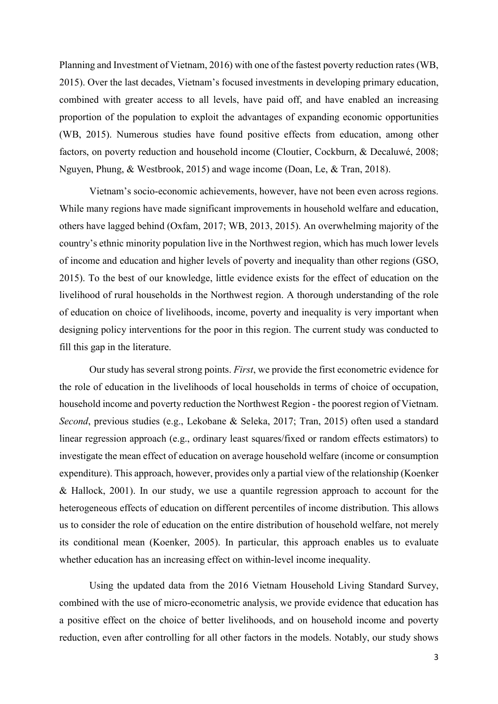Planning and Investment of Vietnam, 2016) with one of the fastest poverty reduction rates (WB, 2015). Over the last decades, Vietnam's focused investments in developing primary education, combined with greater access to all levels, have paid off, and have enabled an increasing proportion of the population to exploit the advantages of expanding economic opportunities (WB, 2015). Numerous studies have found positive effects from education, among other factors, on poverty reduction and household income (Cloutier, Cockburn, & Decaluwé, 2008; Nguyen, Phung, & Westbrook, 2015) and wage income (Doan, Le, & Tran, 2018).

Vietnam's socio-economic achievements, however, have not been even across regions. While many regions have made significant improvements in household welfare and education, others have lagged behind (Oxfam, 2017; WB, 2013, 2015). An overwhelming majority of the country's ethnic minority population live in the Northwest region, which has much lower levels of income and education and higher levels of poverty and inequality than other regions (GSO, 2015). To the best of our knowledge, little evidence exists for the effect of education on the livelihood of rural households in the Northwest region. A thorough understanding of the role of education on choice of livelihoods, income, poverty and inequality is very important when designing policy interventions for the poor in this region. The current study was conducted to fill this gap in the literature.

Our study has several strong points. First, we provide the first econometric evidence for the role of education in the livelihoods of local households in terms of choice of occupation, household income and poverty reduction the Northwest Region - the poorest region of Vietnam. Second, previous studies (e.g., Lekobane & Seleka, 2017; Tran, 2015) often used a standard linear regression approach (e.g., ordinary least squares/fixed or random effects estimators) to investigate the mean effect of education on average household welfare (income or consumption expenditure). This approach, however, provides only a partial view of the relationship (Koenker & Hallock, 2001). In our study, we use a quantile regression approach to account for the heterogeneous effects of education on different percentiles of income distribution. This allows us to consider the role of education on the entire distribution of household welfare, not merely its conditional mean (Koenker, 2005). In particular, this approach enables us to evaluate whether education has an increasing effect on within-level income inequality.

Using the updated data from the 2016 Vietnam Household Living Standard Survey, combined with the use of micro-econometric analysis, we provide evidence that education has a positive effect on the choice of better livelihoods, and on household income and poverty reduction, even after controlling for all other factors in the models. Notably, our study shows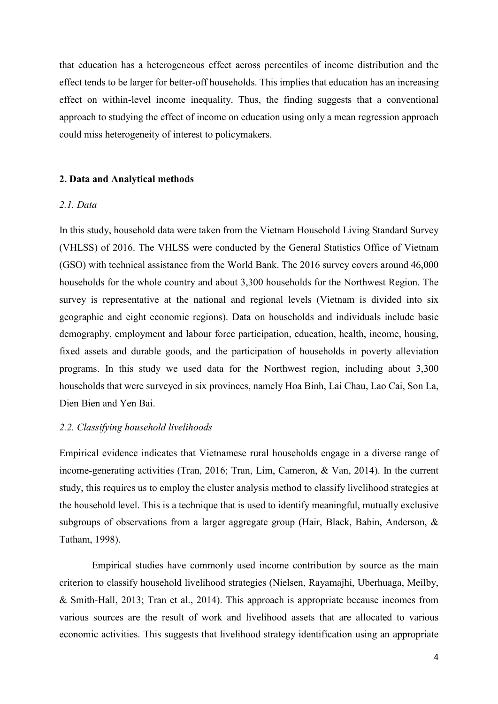that education has a heterogeneous effect across percentiles of income distribution and the effect tends to be larger for better-off households. This implies that education has an increasing effect on within-level income inequality. Thus, the finding suggests that a conventional approach to studying the effect of income on education using only a mean regression approach could miss heterogeneity of interest to policymakers.

#### 2. Data and Analytical methods

#### 2.1. Data

In this study, household data were taken from the Vietnam Household Living Standard Survey (VHLSS) of 2016. The VHLSS were conducted by the General Statistics Office of Vietnam (GSO) with technical assistance from the World Bank. The 2016 survey covers around 46,000 households for the whole country and about 3,300 households for the Northwest Region. The survey is representative at the national and regional levels (Vietnam is divided into six geographic and eight economic regions). Data on households and individuals include basic demography, employment and labour force participation, education, health, income, housing, fixed assets and durable goods, and the participation of households in poverty alleviation programs. In this study we used data for the Northwest region, including about 3,300 households that were surveyed in six provinces, namely Hoa Binh, Lai Chau, Lao Cai, Son La, Dien Bien and Yen Bai.

#### 2.2. Classifying household livelihoods

Empirical evidence indicates that Vietnamese rural households engage in a diverse range of income-generating activities (Tran, 2016; Tran, Lim, Cameron, & Van, 2014). In the current study, this requires us to employ the cluster analysis method to classify livelihood strategies at the household level. This is a technique that is used to identify meaningful, mutually exclusive subgroups of observations from a larger aggregate group (Hair, Black, Babin, Anderson, & Tatham, 1998).

 Empirical studies have commonly used income contribution by source as the main criterion to classify household livelihood strategies (Nielsen, Rayamajhi, Uberhuaga, Meilby, & Smith‐Hall, 2013; Tran et al., 2014). This approach is appropriate because incomes from various sources are the result of work and livelihood assets that are allocated to various economic activities. This suggests that livelihood strategy identification using an appropriate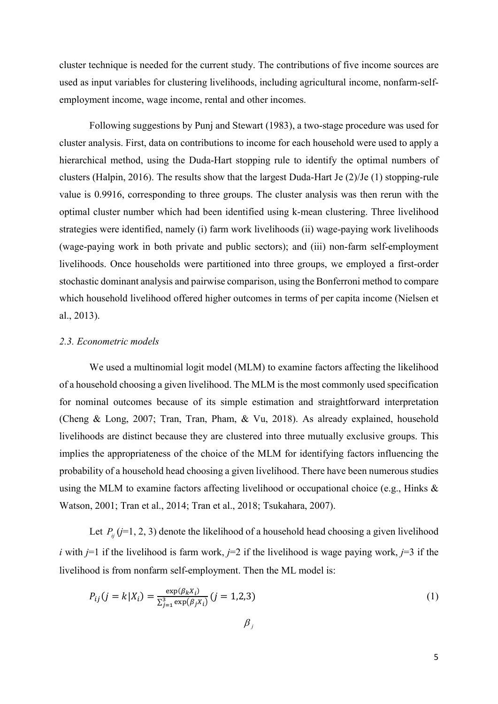cluster technique is needed for the current study. The contributions of five income sources are used as input variables for clustering livelihoods, including agricultural income, nonfarm-selfemployment income, wage income, rental and other incomes.

Following suggestions by Punj and Stewart (1983), a two-stage procedure was used for cluster analysis. First, data on contributions to income for each household were used to apply a hierarchical method, using the Duda-Hart stopping rule to identify the optimal numbers of clusters (Halpin, 2016). The results show that the largest Duda-Hart Je (2)/Je (1) stopping-rule value is 0.9916, corresponding to three groups. The cluster analysis was then rerun with the optimal cluster number which had been identified using k-mean clustering. Three livelihood strategies were identified, namely (i) farm work livelihoods (ii) wage-paying work livelihoods (wage-paying work in both private and public sectors); and (iii) non-farm self-employment livelihoods. Once households were partitioned into three groups, we employed a first-order stochastic dominant analysis and pairwise comparison, using the Bonferroni method to compare which household livelihood offered higher outcomes in terms of per capita income (Nielsen et al., 2013).

#### 2.3. Econometric models

We used a multinomial logit model (MLM) to examine factors affecting the likelihood of a household choosing a given livelihood. The MLM is the most commonly used specification for nominal outcomes because of its simple estimation and straightforward interpretation (Cheng & Long, 2007; Tran, Tran, Pham, & Vu, 2018). As already explained, household livelihoods are distinct because they are clustered into three mutually exclusive groups. This implies the appropriateness of the choice of the MLM for identifying factors influencing the probability of a household head choosing a given livelihood. There have been numerous studies using the MLM to examine factors affecting livelihood or occupational choice (e.g., Hinks & Watson, 2001; Tran et al., 2014; Tran et al., 2018; Tsukahara, 2007).

Let  $P_{ij}$  (j=1, 2, 3) denote the likelihood of a household head choosing a given livelihood i with  $j=1$  if the livelihood is farm work,  $j=2$  if the livelihood is wage paying work,  $j=3$  if the livelihood is from nonfarm self-employment. Then the ML model is:

$$
P_{ij}(j = k | X_i) = \frac{\exp(\beta_k X_i)}{\sum_{j=1}^3 \exp(\beta_j X_i)} (j = 1, 2, 3)
$$
\n(1)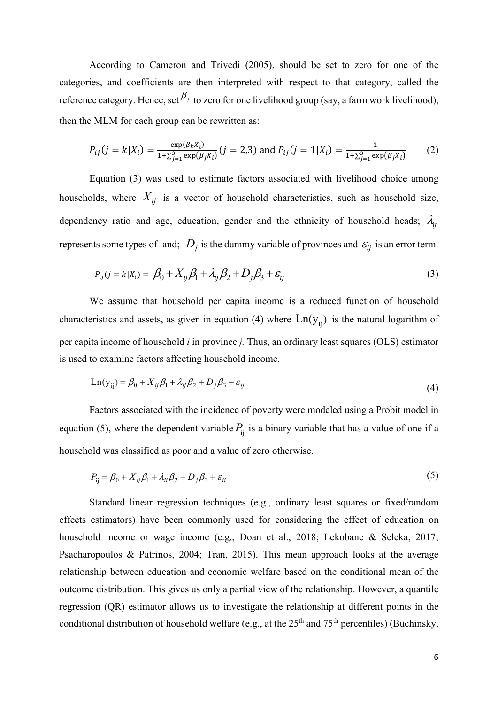According to Cameron and Trivedi (2005), should be set to zero for one of the categories, and coefficients are then interpreted with respect to that category, called the reference category. Hence, set  $\beta_j$  to zero for one livelihood group (say, a farm work livelihood), then the MLM for each group can be rewritten as:

$$
P_{ij}(j = k | X_i) = \frac{\exp(\beta_k X_i)}{1 + \sum_{j=1}^3 \exp(\beta_j X_i)} (j = 2,3) \text{ and } P_{ij}(j = 1 | X_i) = \frac{1}{1 + \sum_{j=1}^3 \exp(\beta_j X_i)} \tag{2}
$$

Equation (3) was used to estimate factors associated with livelihood choice among households, where  $X_{ii}$  is a vector of household characteristics, such as household size, dependency ratio and age, education, gender and the ethnicity of household heads;  $\lambda_{ij}$ represents some types of land;  $D_j$  is the dummy variable of provinces and  $\varepsilon_{ij}$  is an error term.

$$
P_{ij}(j = k|X_i) = \beta_0 + X_{ij}\beta_1 + \lambda_{ij}\beta_2 + D_j\beta_3 + \varepsilon_{ij}
$$
\n(3)

We assume that household per capita income is a reduced function of household characteristics and assets, as given in equation (4) where  $Ln(y_{ij})$  is the natural logarithm of per capita income of household i in province j. Thus, an ordinary least squares (OLS) estimator is used to examine factors affecting household income.

$$
Ln(y_{ij}) = \beta_0 + X_{ij}\beta_1 + \lambda_{ij}\beta_2 + D_j\beta_3 + \varepsilon_{ij}
$$
\n(4)

Factors associated with the incidence of poverty were modeled using a Probit model in equation (5), where the dependent variable  $P_{ij}$  is a binary variable that has a value of one if a household was classified as poor and a value of zero otherwise.

$$
P_{ij} = \beta_0 + X_{ij}\beta_1 + \lambda_{ij}\beta_2 + D_j\beta_3 + \varepsilon_{ij}
$$
\n<sup>(5)</sup>

Standard linear regression techniques (e.g., ordinary least squares or fixed/random effects estimators) have been commonly used for considering the effect of education on household income or wage income (e.g., Doan et al., 2018; Lekobane & Seleka, 2017; Psacharopoulos & Patrinos, 2004; Tran, 2015). This mean approach looks at the average relationship between education and economic welfare based on the conditional mean of the outcome distribution. This gives us only a partial view of the relationship. However, a quantile regression (QR) estimator allows us to investigate the relationship at different points in the conditional distribution of household welfare (e.g., at the  $25<sup>th</sup>$  and  $75<sup>th</sup>$  percentiles) (Buchinsky,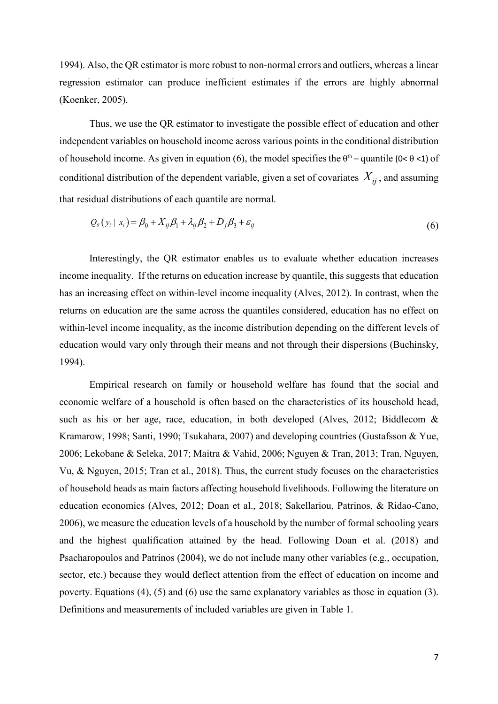1994). Also, the QR estimator is more robust to non-normal errors and outliers, whereas a linear regression estimator can produce inefficient estimates if the errors are highly abnormal (Koenker, 2005).

Thus, we use the QR estimator to investigate the possible effect of education and other independent variables on household income across various points in the conditional distribution of household income. As given in equation (6), the model specifies the  $\theta^{th}$  – quantile (0<  $\theta$  <1) of conditional distribution of the dependent variable, given a set of covariates  $X_{ij}$ , and assuming that residual distributions of each quantile are normal.

$$
Q_{\theta}\left(y_i \mid x_i\right) = \beta_0 + X_{ij}\beta_1 + \lambda_{ij}\beta_2 + D_j\beta_3 + \varepsilon_{ij}
$$
\n<sup>(6)</sup>

Interestingly, the QR estimator enables us to evaluate whether education increases income inequality. If the returns on education increase by quantile, this suggests that education has an increasing effect on within-level income inequality (Alves, 2012). In contrast, when the returns on education are the same across the quantiles considered, education has no effect on within-level income inequality, as the income distribution depending on the different levels of education would vary only through their means and not through their dispersions (Buchinsky, 1994).

Empirical research on family or household welfare has found that the social and economic welfare of a household is often based on the characteristics of its household head, such as his or her age, race, education, in both developed (Alves, 2012; Biddlecom & Kramarow, 1998; Santi, 1990; Tsukahara, 2007) and developing countries (Gustafsson & Yue, 2006; Lekobane & Seleka, 2017; Maitra & Vahid, 2006; Nguyen & Tran, 2013; Tran, Nguyen, Vu, & Nguyen, 2015; Tran et al., 2018). Thus, the current study focuses on the characteristics of household heads as main factors affecting household livelihoods. Following the literature on education economics (Alves, 2012; Doan et al., 2018; Sakellariou, Patrinos, & Ridao-Cano, 2006), we measure the education levels of a household by the number of formal schooling years and the highest qualification attained by the head. Following Doan et al. (2018) and Psacharopoulos and Patrinos (2004), we do not include many other variables (e.g., occupation, sector, etc.) because they would deflect attention from the effect of education on income and poverty. Equations (4), (5) and (6) use the same explanatory variables as those in equation (3). Definitions and measurements of included variables are given in Table 1.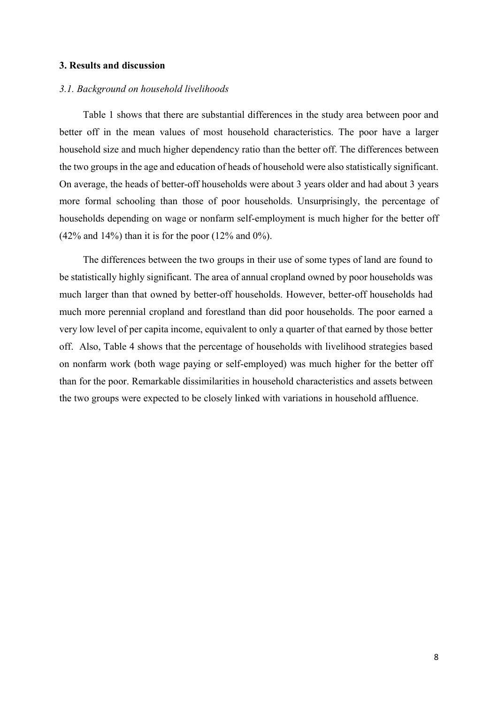#### 3. Results and discussion

#### 3.1. Background on household livelihoods

Table 1 shows that there are substantial differences in the study area between poor and better off in the mean values of most household characteristics. The poor have a larger household size and much higher dependency ratio than the better off. The differences between the two groups in the age and education of heads of household were also statistically significant. On average, the heads of better-off households were about 3 years older and had about 3 years more formal schooling than those of poor households. Unsurprisingly, the percentage of households depending on wage or nonfarm self-employment is much higher for the better off  $(42\%$  and  $14\%)$  than it is for the poor  $(12\%$  and  $0\%).$ 

The differences between the two groups in their use of some types of land are found to be statistically highly significant. The area of annual cropland owned by poor households was much larger than that owned by better-off households. However, better-off households had much more perennial cropland and forestland than did poor households. The poor earned a very low level of per capita income, equivalent to only a quarter of that earned by those better off. Also, Table 4 shows that the percentage of households with livelihood strategies based on nonfarm work (both wage paying or self-employed) was much higher for the better off than for the poor. Remarkable dissimilarities in household characteristics and assets between the two groups were expected to be closely linked with variations in household affluence.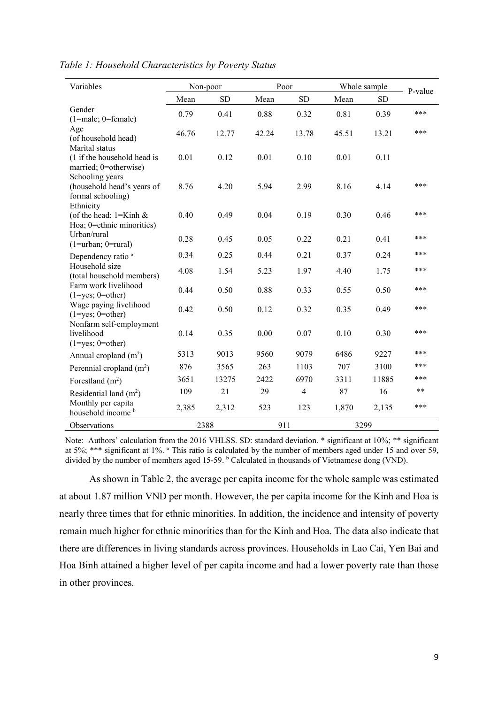| Variables                                                                       | Non-poor |           |       | Poor           | Whole sample | P-value   |       |
|---------------------------------------------------------------------------------|----------|-----------|-------|----------------|--------------|-----------|-------|
|                                                                                 | Mean     | <b>SD</b> | Mean  | <b>SD</b>      | Mean         | <b>SD</b> |       |
| Gender<br>$(1 = male; 0 = female)$                                              | 0.79     | 0.41      | 0.88  | 0.32           | 0.81         | 0.39      | ***   |
| Age<br>(of household head)                                                      | 46.76    | 12.77     | 42.24 | 13.78          | 45.51        | 13.21     | ***   |
| Marital status<br>(1 if the household head is<br>married; 0=otherwise)          | 0.01     | 0.12      | 0.01  | 0.10           | 0.01         | 0.11      |       |
| Schooling years<br>(household head's years of<br>formal schooling)<br>Ethnicity | 8.76     | 4.20      | 5.94  | 2.99           | 8.16         | 4.14      | ***   |
| (of the head: $1 =$ Kinh &<br>Hoa; 0=ethnic minorities)                         | 0.40     | 0.49      | 0.04  | 0.19           | 0.30         | 0.46      | ***   |
| Urban/rural<br>$(1 = urban; 0 = rural)$                                         | 0.28     | 0.45      | 0.05  | 0.22           | 0.21         | 0.41      | ***   |
| Dependency ratio <sup>a</sup>                                                   | 0.34     | 0.25      | 0.44  | 0.21           | 0.37         | 0.24      | ***   |
| Household size<br>(total household members)                                     | 4.08     | 1.54      | 5.23  | 1.97           | 4.40         | 1.75      | ***   |
| Farm work livelihood<br>$(1 = yes; 0 = other)$                                  | 0.44     | 0.50      | 0.88  | 0.33           | 0.55         | 0.50      | ***   |
| Wage paying livelihood<br>$(1 = yes; 0 = other)$                                | 0.42     | 0.50      | 0.12  | 0.32           | 0.35         | 0.49      | ***   |
| Nonfarm self-employment<br>livelihood<br>$(1 = yes; 0 = other)$                 | 0.14     | 0.35      | 0.00  | 0.07           | 0.10         | 0.30      | ***   |
| Annual cropland $(m2)$                                                          | 5313     | 9013      | 9560  | 9079           | 6486         | 9227      | ***   |
| Perennial cropland $(m2)$                                                       | 876      | 3565      | 263   | 1103           | 707          | 3100      | ***   |
| Forestland $(m2)$                                                               | 3651     | 13275     | 2422  | 6970           | 3311         | 11885     | ***   |
| Residential land $(m2)$                                                         | 109      | 21        | 29    | $\overline{4}$ | 87           | 16        | $***$ |
| Monthly per capita<br>household income b                                        | 2,385    | 2,312     | 523   | 123            | 1,870        | 2,135     | ***   |
| Observations                                                                    | 2388     |           | 911   |                | 3299         |           |       |

Table 1: Household Characteristics by Poverty Status

Note: Authors' calculation from the 2016 VHLSS. SD: standard deviation. \* significant at 10%; \*\* significant at 5%; \*\*\* significant at 1%. <sup>a</sup> This ratio is calculated by the number of members aged under 15 and over 59, divided by the number of members aged 15-59. <sup>b</sup> Calculated in thousands of Vietnamese dong (VND).

As shown in Table 2, the average per capita income for the whole sample was estimated at about 1.87 million VND per month. However, the per capita income for the Kinh and Hoa is nearly three times that for ethnic minorities. In addition, the incidence and intensity of poverty remain much higher for ethnic minorities than for the Kinh and Hoa. The data also indicate that there are differences in living standards across provinces. Households in Lao Cai, Yen Bai and Hoa Binh attained a higher level of per capita income and had a lower poverty rate than those in other provinces.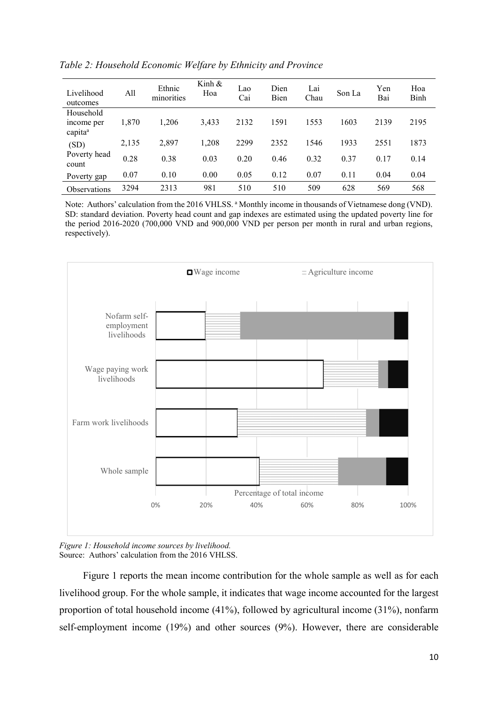| Livelihood<br>outcomes                         | All   | Ethnic<br>minorities | Kinh $\&$<br>Hoa | Lao<br>Cai | Dien<br>Bien | Lai<br>Chau | Son La | Yen<br>Bai | Hoa<br>Binh |
|------------------------------------------------|-------|----------------------|------------------|------------|--------------|-------------|--------|------------|-------------|
| Household<br>income per<br>capita <sup>a</sup> | 1,870 | 1.206                | 3,433            | 2132       | 1591         | 1553        | 1603   | 2139       | 2195        |
| (SD)                                           | 2,135 | 2,897                | 1,208            | 2299       | 2352         | 1546        | 1933   | 2551       | 1873        |
| Poverty head<br>count                          | 0.28  | 0.38                 | 0.03             | 0.20       | 0.46         | 0.32        | 0.37   | 0.17       | 0.14        |
| Poverty gap                                    | 0.07  | 0.10                 | 0.00             | 0.05       | 0.12         | 0.07        | 0.11   | 0.04       | 0.04        |
| <b>Observations</b>                            | 3294  | 2313                 | 981              | 510        | 510          | 509         | 628    | 569        | 568         |

Table 2: Household Economic Welfare by Ethnicity and Province

Note: Authors' calculation from the 2016 VHLSS. <sup>a</sup> Monthly income in thousands of Vietnamese dong (VND). SD: standard deviation. Poverty head count and gap indexes are estimated using the updated poverty line for the period 2016-2020 (700,000 VND and 900,000 VND per person per month in rural and urban regions, respectively).



Figure 1: Household income sources by livelihood. Source: Authors' calculation from the 2016 VHLSS.

Figure 1 reports the mean income contribution for the whole sample as well as for each livelihood group. For the whole sample, it indicates that wage income accounted for the largest proportion of total household income (41%), followed by agricultural income (31%), nonfarm self-employment income (19%) and other sources (9%). However, there are considerable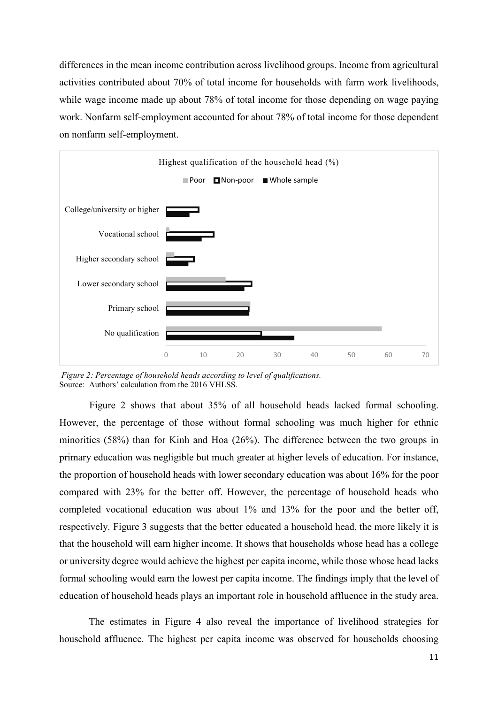differences in the mean income contribution across livelihood groups. Income from agricultural activities contributed about 70% of total income for households with farm work livelihoods, while wage income made up about 78% of total income for those depending on wage paying work. Nonfarm self-employment accounted for about 78% of total income for those dependent on nonfarm self-employment.



 Figure 2: Percentage of household heads according to level of qualifications. Source: Authors' calculation from the 2016 VHLSS.

Figure 2 shows that about 35% of all household heads lacked formal schooling. However, the percentage of those without formal schooling was much higher for ethnic minorities (58%) than for Kinh and Hoa (26%). The difference between the two groups in primary education was negligible but much greater at higher levels of education. For instance, the proportion of household heads with lower secondary education was about 16% for the poor compared with 23% for the better off. However, the percentage of household heads who completed vocational education was about 1% and 13% for the poor and the better off, respectively. Figure 3 suggests that the better educated a household head, the more likely it is that the household will earn higher income. It shows that households whose head has a college or university degree would achieve the highest per capita income, while those whose head lacks formal schooling would earn the lowest per capita income. The findings imply that the level of education of household heads plays an important role in household affluence in the study area.

The estimates in Figure 4 also reveal the importance of livelihood strategies for household affluence. The highest per capita income was observed for households choosing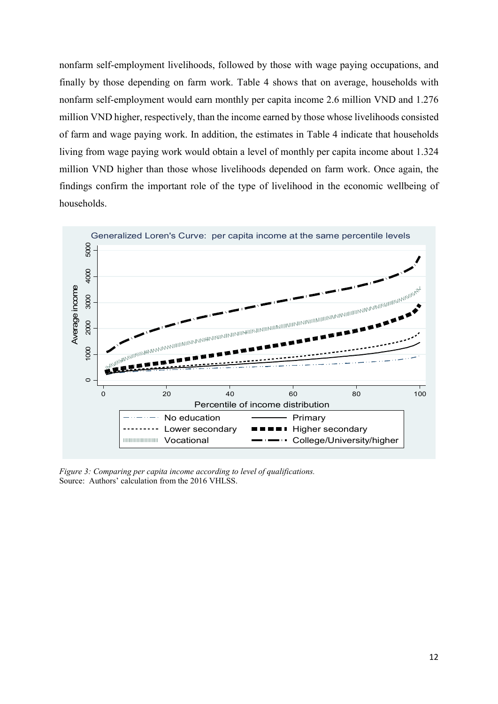nonfarm self-employment livelihoods, followed by those with wage paying occupations, and finally by those depending on farm work. Table 4 shows that on average, households with nonfarm self-employment would earn monthly per capita income 2.6 million VND and 1.276 million VND higher, respectively, than the income earned by those whose livelihoods consisted of farm and wage paying work. In addition, the estimates in Table 4 indicate that households living from wage paying work would obtain a level of monthly per capita income about 1.324 million VND higher than those whose livelihoods depended on farm work. Once again, the findings confirm the important role of the type of livelihood in the economic wellbeing of households.



Figure 3: Comparing per capita income according to level of qualifications. Source: Authors' calculation from the 2016 VHLSS.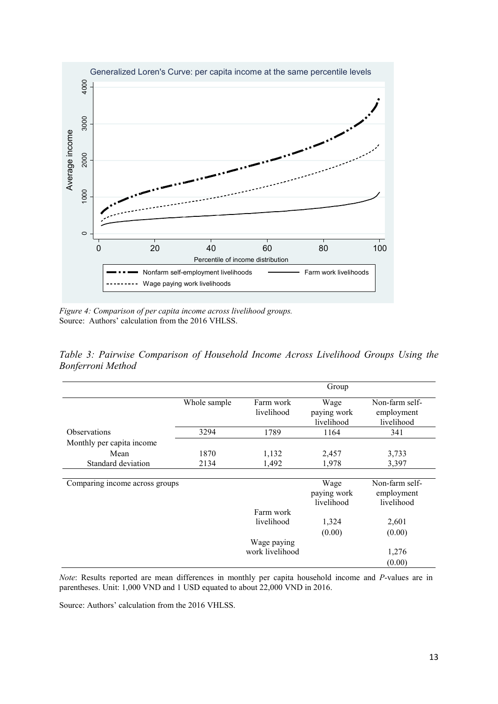

Figure 4: Comparison of per capita income across livelihood groups. Source: Authors' calculation from the 2016 VHLSS.

Table 3: Pairwise Comparison of Household Income Across Livelihood Groups Using the Bonferroni Method

|                                |              |                         | Group                             |                                            |
|--------------------------------|--------------|-------------------------|-----------------------------------|--------------------------------------------|
|                                | Whole sample | Farm work<br>livelihood | Wage<br>paying work<br>livelihood | Non-farm self-<br>employment<br>livelihood |
| Observations                   | 3294         | 1789                    | 1164                              | 341                                        |
| Monthly per capita income      |              |                         |                                   |                                            |
| Mean                           | 1870         | 1,132                   | 2,457                             | 3,733                                      |
| Standard deviation             | 2134         | 1,492                   | 1,978                             | 3,397                                      |
|                                |              |                         |                                   |                                            |
| Comparing income across groups |              |                         | Wage<br>paying work<br>livelihood | Non-farm self-<br>employment<br>livelihood |
|                                |              | Farm work               |                                   |                                            |
|                                |              | livelihood              | 1,324                             | 2,601                                      |
|                                |              |                         | (0.00)                            | (0.00)                                     |
|                                |              | Wage paying             |                                   |                                            |
|                                |              | work livelihood         |                                   | 1,276                                      |
|                                |              |                         |                                   | (0.00)                                     |

Note: Results reported are mean differences in monthly per capita household income and P-values are in parentheses. Unit: 1,000 VND and 1 USD equated to about 22,000 VND in 2016.

Source: Authors' calculation from the 2016 VHLSS.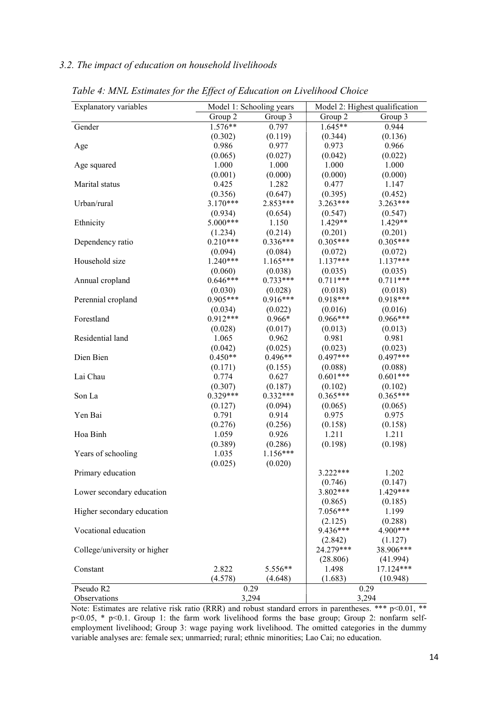## 3.2. The impact of education on household livelihoods

| Group 2<br>Group 2<br>Group 3<br>Group 3<br>$1.576**$<br>$1.645**$<br>0.944<br>Gender<br>0.797<br>(0.136)<br>(0.302)<br>(0.119)<br>(0.344)<br>0.986<br>0.977<br>0.973<br>0.966<br>Age<br>(0.022)<br>(0.065)<br>(0.027)<br>(0.042)<br>1.000<br>1.000<br>1.000<br>1.000<br>Age squared<br>(0.001)<br>(0.000)<br>(0.000)<br>(0.000)<br>0.425<br>1.282<br>0.477<br>1.147<br>Marital status<br>(0.356)<br>(0.647)<br>(0.395)<br>(0.452)<br>$3.170***$<br>$2.853***$<br>$3.263***$<br>3.263***<br>Urban/rural<br>(0.934)<br>(0.654)<br>(0.547)<br>(0.547)<br>$5.000***$<br>$1.429**$<br>$1.429**$<br>1.150<br>Ethnicity<br>(1.234)<br>(0.214)<br>(0.201)<br>(0.201)<br>$0.336***$<br>$0.210***$<br>$0.305***$<br>$0.305***$<br>Dependency ratio<br>(0.084)<br>(0.094)<br>(0.072)<br>(0.072)<br>$1.165***$<br>$1.240***$<br>$1.137***$<br>$1.137***$<br>Household size<br>(0.060)<br>(0.038)<br>(0.035)<br>(0.035)<br>$0.646***$<br>$0.733***$<br>$0.711***$<br>$0.711***$<br>Annual cropland<br>(0.030)<br>(0.028)<br>(0.018)<br>(0.018)<br>$0.916***$<br>$0.905***$<br>$0.918***$<br>$0.918***$<br>Perennial cropland<br>(0.034)<br>(0.022)<br>(0.016)<br>(0.016)<br>$0.912***$<br>$0.966***$<br>$0.966***$<br>Forestland<br>$0.966*$<br>(0.028)<br>(0.017)<br>(0.013)<br>(0.013)<br>0.981<br>Residential land<br>1.065<br>0.962<br>0.981<br>(0.042)<br>(0.025)<br>(0.023)<br>(0.023)<br>$0.497***$<br>$0.450**$<br>$0.496**$<br>$0.497***$<br>Dien Bien<br>(0.171)<br>(0.155)<br>(0.088)<br>(0.088)<br>$0.601***$<br>$0.601***$<br>Lai Chau<br>0.774<br>0.627<br>(0.307)<br>(0.187)<br>(0.102)<br>(0.102)<br>$0.365***$<br>$0.329***$<br>$0.332***$<br>$0.365***$<br>Son La<br>(0.127)<br>(0.094)<br>(0.065)<br>(0.065)<br>0.791<br>0.914<br>0.975<br>0.975<br>Yen Bai<br>(0.276)<br>(0.256)<br>(0.158)<br>(0.158)<br>1.059<br>0.926<br>1.211<br>1.211<br>Hoa Binh<br>(0.389)<br>(0.286)<br>(0.198)<br>(0.198)<br>$1.156***$<br>1.035<br>Years of schooling<br>(0.025)<br>(0.020)<br>3.222***<br>1.202<br>Primary education<br>(0.746)<br>(0.147)<br>$3.802***$<br>1.429***<br>Lower secondary education<br>(0.865)<br>(0.185)<br>$7.056***$<br>1.199<br>Higher secondary education<br>(2.125)<br>(0.288)<br>9.436***<br>4.900***<br>Vocational education<br>(2.842)<br>(1.127)<br>24.279***<br>38.906***<br>College/university or higher<br>(28.806)<br>(41.994)<br>17.124***<br>2.822<br>5.556**<br>1.498<br>Constant<br>(1.683)<br>(4.578)<br>(10.948)<br>(4.648)<br>Pseudo R2<br>0.29<br>0.29<br>3,294<br>3,294 | Explanatory variables | Model 1: Schooling years |  | Model 2: Highest qualification |  |  |  |
|-----------------------------------------------------------------------------------------------------------------------------------------------------------------------------------------------------------------------------------------------------------------------------------------------------------------------------------------------------------------------------------------------------------------------------------------------------------------------------------------------------------------------------------------------------------------------------------------------------------------------------------------------------------------------------------------------------------------------------------------------------------------------------------------------------------------------------------------------------------------------------------------------------------------------------------------------------------------------------------------------------------------------------------------------------------------------------------------------------------------------------------------------------------------------------------------------------------------------------------------------------------------------------------------------------------------------------------------------------------------------------------------------------------------------------------------------------------------------------------------------------------------------------------------------------------------------------------------------------------------------------------------------------------------------------------------------------------------------------------------------------------------------------------------------------------------------------------------------------------------------------------------------------------------------------------------------------------------------------------------------------------------------------------------------------------------------------------------------------------------------------------------------------------------------------------------------------------------------------------------------------------------------------------------------------------------------------------------------------------------------------------------------------------------------------------------------------------------------------------------------------------------|-----------------------|--------------------------|--|--------------------------------|--|--|--|
|                                                                                                                                                                                                                                                                                                                                                                                                                                                                                                                                                                                                                                                                                                                                                                                                                                                                                                                                                                                                                                                                                                                                                                                                                                                                                                                                                                                                                                                                                                                                                                                                                                                                                                                                                                                                                                                                                                                                                                                                                                                                                                                                                                                                                                                                                                                                                                                                                                                                                                                 |                       |                          |  |                                |  |  |  |
|                                                                                                                                                                                                                                                                                                                                                                                                                                                                                                                                                                                                                                                                                                                                                                                                                                                                                                                                                                                                                                                                                                                                                                                                                                                                                                                                                                                                                                                                                                                                                                                                                                                                                                                                                                                                                                                                                                                                                                                                                                                                                                                                                                                                                                                                                                                                                                                                                                                                                                                 |                       |                          |  |                                |  |  |  |
|                                                                                                                                                                                                                                                                                                                                                                                                                                                                                                                                                                                                                                                                                                                                                                                                                                                                                                                                                                                                                                                                                                                                                                                                                                                                                                                                                                                                                                                                                                                                                                                                                                                                                                                                                                                                                                                                                                                                                                                                                                                                                                                                                                                                                                                                                                                                                                                                                                                                                                                 |                       |                          |  |                                |  |  |  |
|                                                                                                                                                                                                                                                                                                                                                                                                                                                                                                                                                                                                                                                                                                                                                                                                                                                                                                                                                                                                                                                                                                                                                                                                                                                                                                                                                                                                                                                                                                                                                                                                                                                                                                                                                                                                                                                                                                                                                                                                                                                                                                                                                                                                                                                                                                                                                                                                                                                                                                                 |                       |                          |  |                                |  |  |  |
|                                                                                                                                                                                                                                                                                                                                                                                                                                                                                                                                                                                                                                                                                                                                                                                                                                                                                                                                                                                                                                                                                                                                                                                                                                                                                                                                                                                                                                                                                                                                                                                                                                                                                                                                                                                                                                                                                                                                                                                                                                                                                                                                                                                                                                                                                                                                                                                                                                                                                                                 |                       |                          |  |                                |  |  |  |
|                                                                                                                                                                                                                                                                                                                                                                                                                                                                                                                                                                                                                                                                                                                                                                                                                                                                                                                                                                                                                                                                                                                                                                                                                                                                                                                                                                                                                                                                                                                                                                                                                                                                                                                                                                                                                                                                                                                                                                                                                                                                                                                                                                                                                                                                                                                                                                                                                                                                                                                 |                       |                          |  |                                |  |  |  |
|                                                                                                                                                                                                                                                                                                                                                                                                                                                                                                                                                                                                                                                                                                                                                                                                                                                                                                                                                                                                                                                                                                                                                                                                                                                                                                                                                                                                                                                                                                                                                                                                                                                                                                                                                                                                                                                                                                                                                                                                                                                                                                                                                                                                                                                                                                                                                                                                                                                                                                                 |                       |                          |  |                                |  |  |  |
|                                                                                                                                                                                                                                                                                                                                                                                                                                                                                                                                                                                                                                                                                                                                                                                                                                                                                                                                                                                                                                                                                                                                                                                                                                                                                                                                                                                                                                                                                                                                                                                                                                                                                                                                                                                                                                                                                                                                                                                                                                                                                                                                                                                                                                                                                                                                                                                                                                                                                                                 |                       |                          |  |                                |  |  |  |
|                                                                                                                                                                                                                                                                                                                                                                                                                                                                                                                                                                                                                                                                                                                                                                                                                                                                                                                                                                                                                                                                                                                                                                                                                                                                                                                                                                                                                                                                                                                                                                                                                                                                                                                                                                                                                                                                                                                                                                                                                                                                                                                                                                                                                                                                                                                                                                                                                                                                                                                 |                       |                          |  |                                |  |  |  |
|                                                                                                                                                                                                                                                                                                                                                                                                                                                                                                                                                                                                                                                                                                                                                                                                                                                                                                                                                                                                                                                                                                                                                                                                                                                                                                                                                                                                                                                                                                                                                                                                                                                                                                                                                                                                                                                                                                                                                                                                                                                                                                                                                                                                                                                                                                                                                                                                                                                                                                                 |                       |                          |  |                                |  |  |  |
|                                                                                                                                                                                                                                                                                                                                                                                                                                                                                                                                                                                                                                                                                                                                                                                                                                                                                                                                                                                                                                                                                                                                                                                                                                                                                                                                                                                                                                                                                                                                                                                                                                                                                                                                                                                                                                                                                                                                                                                                                                                                                                                                                                                                                                                                                                                                                                                                                                                                                                                 |                       |                          |  |                                |  |  |  |
|                                                                                                                                                                                                                                                                                                                                                                                                                                                                                                                                                                                                                                                                                                                                                                                                                                                                                                                                                                                                                                                                                                                                                                                                                                                                                                                                                                                                                                                                                                                                                                                                                                                                                                                                                                                                                                                                                                                                                                                                                                                                                                                                                                                                                                                                                                                                                                                                                                                                                                                 |                       |                          |  |                                |  |  |  |
|                                                                                                                                                                                                                                                                                                                                                                                                                                                                                                                                                                                                                                                                                                                                                                                                                                                                                                                                                                                                                                                                                                                                                                                                                                                                                                                                                                                                                                                                                                                                                                                                                                                                                                                                                                                                                                                                                                                                                                                                                                                                                                                                                                                                                                                                                                                                                                                                                                                                                                                 |                       |                          |  |                                |  |  |  |
|                                                                                                                                                                                                                                                                                                                                                                                                                                                                                                                                                                                                                                                                                                                                                                                                                                                                                                                                                                                                                                                                                                                                                                                                                                                                                                                                                                                                                                                                                                                                                                                                                                                                                                                                                                                                                                                                                                                                                                                                                                                                                                                                                                                                                                                                                                                                                                                                                                                                                                                 |                       |                          |  |                                |  |  |  |
|                                                                                                                                                                                                                                                                                                                                                                                                                                                                                                                                                                                                                                                                                                                                                                                                                                                                                                                                                                                                                                                                                                                                                                                                                                                                                                                                                                                                                                                                                                                                                                                                                                                                                                                                                                                                                                                                                                                                                                                                                                                                                                                                                                                                                                                                                                                                                                                                                                                                                                                 |                       |                          |  |                                |  |  |  |
|                                                                                                                                                                                                                                                                                                                                                                                                                                                                                                                                                                                                                                                                                                                                                                                                                                                                                                                                                                                                                                                                                                                                                                                                                                                                                                                                                                                                                                                                                                                                                                                                                                                                                                                                                                                                                                                                                                                                                                                                                                                                                                                                                                                                                                                                                                                                                                                                                                                                                                                 |                       |                          |  |                                |  |  |  |
|                                                                                                                                                                                                                                                                                                                                                                                                                                                                                                                                                                                                                                                                                                                                                                                                                                                                                                                                                                                                                                                                                                                                                                                                                                                                                                                                                                                                                                                                                                                                                                                                                                                                                                                                                                                                                                                                                                                                                                                                                                                                                                                                                                                                                                                                                                                                                                                                                                                                                                                 |                       |                          |  |                                |  |  |  |
|                                                                                                                                                                                                                                                                                                                                                                                                                                                                                                                                                                                                                                                                                                                                                                                                                                                                                                                                                                                                                                                                                                                                                                                                                                                                                                                                                                                                                                                                                                                                                                                                                                                                                                                                                                                                                                                                                                                                                                                                                                                                                                                                                                                                                                                                                                                                                                                                                                                                                                                 |                       |                          |  |                                |  |  |  |
|                                                                                                                                                                                                                                                                                                                                                                                                                                                                                                                                                                                                                                                                                                                                                                                                                                                                                                                                                                                                                                                                                                                                                                                                                                                                                                                                                                                                                                                                                                                                                                                                                                                                                                                                                                                                                                                                                                                                                                                                                                                                                                                                                                                                                                                                                                                                                                                                                                                                                                                 |                       |                          |  |                                |  |  |  |
|                                                                                                                                                                                                                                                                                                                                                                                                                                                                                                                                                                                                                                                                                                                                                                                                                                                                                                                                                                                                                                                                                                                                                                                                                                                                                                                                                                                                                                                                                                                                                                                                                                                                                                                                                                                                                                                                                                                                                                                                                                                                                                                                                                                                                                                                                                                                                                                                                                                                                                                 |                       |                          |  |                                |  |  |  |
|                                                                                                                                                                                                                                                                                                                                                                                                                                                                                                                                                                                                                                                                                                                                                                                                                                                                                                                                                                                                                                                                                                                                                                                                                                                                                                                                                                                                                                                                                                                                                                                                                                                                                                                                                                                                                                                                                                                                                                                                                                                                                                                                                                                                                                                                                                                                                                                                                                                                                                                 |                       |                          |  |                                |  |  |  |
|                                                                                                                                                                                                                                                                                                                                                                                                                                                                                                                                                                                                                                                                                                                                                                                                                                                                                                                                                                                                                                                                                                                                                                                                                                                                                                                                                                                                                                                                                                                                                                                                                                                                                                                                                                                                                                                                                                                                                                                                                                                                                                                                                                                                                                                                                                                                                                                                                                                                                                                 |                       |                          |  |                                |  |  |  |
|                                                                                                                                                                                                                                                                                                                                                                                                                                                                                                                                                                                                                                                                                                                                                                                                                                                                                                                                                                                                                                                                                                                                                                                                                                                                                                                                                                                                                                                                                                                                                                                                                                                                                                                                                                                                                                                                                                                                                                                                                                                                                                                                                                                                                                                                                                                                                                                                                                                                                                                 |                       |                          |  |                                |  |  |  |
|                                                                                                                                                                                                                                                                                                                                                                                                                                                                                                                                                                                                                                                                                                                                                                                                                                                                                                                                                                                                                                                                                                                                                                                                                                                                                                                                                                                                                                                                                                                                                                                                                                                                                                                                                                                                                                                                                                                                                                                                                                                                                                                                                                                                                                                                                                                                                                                                                                                                                                                 |                       |                          |  |                                |  |  |  |
|                                                                                                                                                                                                                                                                                                                                                                                                                                                                                                                                                                                                                                                                                                                                                                                                                                                                                                                                                                                                                                                                                                                                                                                                                                                                                                                                                                                                                                                                                                                                                                                                                                                                                                                                                                                                                                                                                                                                                                                                                                                                                                                                                                                                                                                                                                                                                                                                                                                                                                                 |                       |                          |  |                                |  |  |  |
|                                                                                                                                                                                                                                                                                                                                                                                                                                                                                                                                                                                                                                                                                                                                                                                                                                                                                                                                                                                                                                                                                                                                                                                                                                                                                                                                                                                                                                                                                                                                                                                                                                                                                                                                                                                                                                                                                                                                                                                                                                                                                                                                                                                                                                                                                                                                                                                                                                                                                                                 |                       |                          |  |                                |  |  |  |
|                                                                                                                                                                                                                                                                                                                                                                                                                                                                                                                                                                                                                                                                                                                                                                                                                                                                                                                                                                                                                                                                                                                                                                                                                                                                                                                                                                                                                                                                                                                                                                                                                                                                                                                                                                                                                                                                                                                                                                                                                                                                                                                                                                                                                                                                                                                                                                                                                                                                                                                 |                       |                          |  |                                |  |  |  |
|                                                                                                                                                                                                                                                                                                                                                                                                                                                                                                                                                                                                                                                                                                                                                                                                                                                                                                                                                                                                                                                                                                                                                                                                                                                                                                                                                                                                                                                                                                                                                                                                                                                                                                                                                                                                                                                                                                                                                                                                                                                                                                                                                                                                                                                                                                                                                                                                                                                                                                                 |                       |                          |  |                                |  |  |  |
|                                                                                                                                                                                                                                                                                                                                                                                                                                                                                                                                                                                                                                                                                                                                                                                                                                                                                                                                                                                                                                                                                                                                                                                                                                                                                                                                                                                                                                                                                                                                                                                                                                                                                                                                                                                                                                                                                                                                                                                                                                                                                                                                                                                                                                                                                                                                                                                                                                                                                                                 |                       |                          |  |                                |  |  |  |
|                                                                                                                                                                                                                                                                                                                                                                                                                                                                                                                                                                                                                                                                                                                                                                                                                                                                                                                                                                                                                                                                                                                                                                                                                                                                                                                                                                                                                                                                                                                                                                                                                                                                                                                                                                                                                                                                                                                                                                                                                                                                                                                                                                                                                                                                                                                                                                                                                                                                                                                 |                       |                          |  |                                |  |  |  |
|                                                                                                                                                                                                                                                                                                                                                                                                                                                                                                                                                                                                                                                                                                                                                                                                                                                                                                                                                                                                                                                                                                                                                                                                                                                                                                                                                                                                                                                                                                                                                                                                                                                                                                                                                                                                                                                                                                                                                                                                                                                                                                                                                                                                                                                                                                                                                                                                                                                                                                                 |                       |                          |  |                                |  |  |  |
|                                                                                                                                                                                                                                                                                                                                                                                                                                                                                                                                                                                                                                                                                                                                                                                                                                                                                                                                                                                                                                                                                                                                                                                                                                                                                                                                                                                                                                                                                                                                                                                                                                                                                                                                                                                                                                                                                                                                                                                                                                                                                                                                                                                                                                                                                                                                                                                                                                                                                                                 |                       |                          |  |                                |  |  |  |
|                                                                                                                                                                                                                                                                                                                                                                                                                                                                                                                                                                                                                                                                                                                                                                                                                                                                                                                                                                                                                                                                                                                                                                                                                                                                                                                                                                                                                                                                                                                                                                                                                                                                                                                                                                                                                                                                                                                                                                                                                                                                                                                                                                                                                                                                                                                                                                                                                                                                                                                 |                       |                          |  |                                |  |  |  |
|                                                                                                                                                                                                                                                                                                                                                                                                                                                                                                                                                                                                                                                                                                                                                                                                                                                                                                                                                                                                                                                                                                                                                                                                                                                                                                                                                                                                                                                                                                                                                                                                                                                                                                                                                                                                                                                                                                                                                                                                                                                                                                                                                                                                                                                                                                                                                                                                                                                                                                                 |                       |                          |  |                                |  |  |  |
|                                                                                                                                                                                                                                                                                                                                                                                                                                                                                                                                                                                                                                                                                                                                                                                                                                                                                                                                                                                                                                                                                                                                                                                                                                                                                                                                                                                                                                                                                                                                                                                                                                                                                                                                                                                                                                                                                                                                                                                                                                                                                                                                                                                                                                                                                                                                                                                                                                                                                                                 |                       |                          |  |                                |  |  |  |
|                                                                                                                                                                                                                                                                                                                                                                                                                                                                                                                                                                                                                                                                                                                                                                                                                                                                                                                                                                                                                                                                                                                                                                                                                                                                                                                                                                                                                                                                                                                                                                                                                                                                                                                                                                                                                                                                                                                                                                                                                                                                                                                                                                                                                                                                                                                                                                                                                                                                                                                 |                       |                          |  |                                |  |  |  |
|                                                                                                                                                                                                                                                                                                                                                                                                                                                                                                                                                                                                                                                                                                                                                                                                                                                                                                                                                                                                                                                                                                                                                                                                                                                                                                                                                                                                                                                                                                                                                                                                                                                                                                                                                                                                                                                                                                                                                                                                                                                                                                                                                                                                                                                                                                                                                                                                                                                                                                                 |                       |                          |  |                                |  |  |  |
|                                                                                                                                                                                                                                                                                                                                                                                                                                                                                                                                                                                                                                                                                                                                                                                                                                                                                                                                                                                                                                                                                                                                                                                                                                                                                                                                                                                                                                                                                                                                                                                                                                                                                                                                                                                                                                                                                                                                                                                                                                                                                                                                                                                                                                                                                                                                                                                                                                                                                                                 |                       |                          |  |                                |  |  |  |
|                                                                                                                                                                                                                                                                                                                                                                                                                                                                                                                                                                                                                                                                                                                                                                                                                                                                                                                                                                                                                                                                                                                                                                                                                                                                                                                                                                                                                                                                                                                                                                                                                                                                                                                                                                                                                                                                                                                                                                                                                                                                                                                                                                                                                                                                                                                                                                                                                                                                                                                 |                       |                          |  |                                |  |  |  |
|                                                                                                                                                                                                                                                                                                                                                                                                                                                                                                                                                                                                                                                                                                                                                                                                                                                                                                                                                                                                                                                                                                                                                                                                                                                                                                                                                                                                                                                                                                                                                                                                                                                                                                                                                                                                                                                                                                                                                                                                                                                                                                                                                                                                                                                                                                                                                                                                                                                                                                                 |                       |                          |  |                                |  |  |  |
|                                                                                                                                                                                                                                                                                                                                                                                                                                                                                                                                                                                                                                                                                                                                                                                                                                                                                                                                                                                                                                                                                                                                                                                                                                                                                                                                                                                                                                                                                                                                                                                                                                                                                                                                                                                                                                                                                                                                                                                                                                                                                                                                                                                                                                                                                                                                                                                                                                                                                                                 |                       |                          |  |                                |  |  |  |
|                                                                                                                                                                                                                                                                                                                                                                                                                                                                                                                                                                                                                                                                                                                                                                                                                                                                                                                                                                                                                                                                                                                                                                                                                                                                                                                                                                                                                                                                                                                                                                                                                                                                                                                                                                                                                                                                                                                                                                                                                                                                                                                                                                                                                                                                                                                                                                                                                                                                                                                 |                       |                          |  |                                |  |  |  |
|                                                                                                                                                                                                                                                                                                                                                                                                                                                                                                                                                                                                                                                                                                                                                                                                                                                                                                                                                                                                                                                                                                                                                                                                                                                                                                                                                                                                                                                                                                                                                                                                                                                                                                                                                                                                                                                                                                                                                                                                                                                                                                                                                                                                                                                                                                                                                                                                                                                                                                                 |                       |                          |  |                                |  |  |  |
|                                                                                                                                                                                                                                                                                                                                                                                                                                                                                                                                                                                                                                                                                                                                                                                                                                                                                                                                                                                                                                                                                                                                                                                                                                                                                                                                                                                                                                                                                                                                                                                                                                                                                                                                                                                                                                                                                                                                                                                                                                                                                                                                                                                                                                                                                                                                                                                                                                                                                                                 |                       |                          |  |                                |  |  |  |
|                                                                                                                                                                                                                                                                                                                                                                                                                                                                                                                                                                                                                                                                                                                                                                                                                                                                                                                                                                                                                                                                                                                                                                                                                                                                                                                                                                                                                                                                                                                                                                                                                                                                                                                                                                                                                                                                                                                                                                                                                                                                                                                                                                                                                                                                                                                                                                                                                                                                                                                 |                       |                          |  |                                |  |  |  |
|                                                                                                                                                                                                                                                                                                                                                                                                                                                                                                                                                                                                                                                                                                                                                                                                                                                                                                                                                                                                                                                                                                                                                                                                                                                                                                                                                                                                                                                                                                                                                                                                                                                                                                                                                                                                                                                                                                                                                                                                                                                                                                                                                                                                                                                                                                                                                                                                                                                                                                                 |                       |                          |  |                                |  |  |  |
|                                                                                                                                                                                                                                                                                                                                                                                                                                                                                                                                                                                                                                                                                                                                                                                                                                                                                                                                                                                                                                                                                                                                                                                                                                                                                                                                                                                                                                                                                                                                                                                                                                                                                                                                                                                                                                                                                                                                                                                                                                                                                                                                                                                                                                                                                                                                                                                                                                                                                                                 |                       |                          |  |                                |  |  |  |
|                                                                                                                                                                                                                                                                                                                                                                                                                                                                                                                                                                                                                                                                                                                                                                                                                                                                                                                                                                                                                                                                                                                                                                                                                                                                                                                                                                                                                                                                                                                                                                                                                                                                                                                                                                                                                                                                                                                                                                                                                                                                                                                                                                                                                                                                                                                                                                                                                                                                                                                 |                       |                          |  |                                |  |  |  |
|                                                                                                                                                                                                                                                                                                                                                                                                                                                                                                                                                                                                                                                                                                                                                                                                                                                                                                                                                                                                                                                                                                                                                                                                                                                                                                                                                                                                                                                                                                                                                                                                                                                                                                                                                                                                                                                                                                                                                                                                                                                                                                                                                                                                                                                                                                                                                                                                                                                                                                                 |                       |                          |  |                                |  |  |  |
|                                                                                                                                                                                                                                                                                                                                                                                                                                                                                                                                                                                                                                                                                                                                                                                                                                                                                                                                                                                                                                                                                                                                                                                                                                                                                                                                                                                                                                                                                                                                                                                                                                                                                                                                                                                                                                                                                                                                                                                                                                                                                                                                                                                                                                                                                                                                                                                                                                                                                                                 |                       |                          |  |                                |  |  |  |
|                                                                                                                                                                                                                                                                                                                                                                                                                                                                                                                                                                                                                                                                                                                                                                                                                                                                                                                                                                                                                                                                                                                                                                                                                                                                                                                                                                                                                                                                                                                                                                                                                                                                                                                                                                                                                                                                                                                                                                                                                                                                                                                                                                                                                                                                                                                                                                                                                                                                                                                 | Observations          |                          |  |                                |  |  |  |

Table 4: MNL Estimates for the Effect of Education on Livelihood Choice

Note: Estimates are relative risk ratio (RRR) and robust standard errors in parentheses. \*\*\* p<0.01, \*\* p<0.05, \* p<0.1. Group 1: the farm work livelihood forms the base group; Group 2: nonfarm selfemployment livelihood; Group 3: wage paying work livelihood. The omitted categories in the dummy variable analyses are: female sex; unmarried; rural; ethnic minorities; Lao Cai; no education.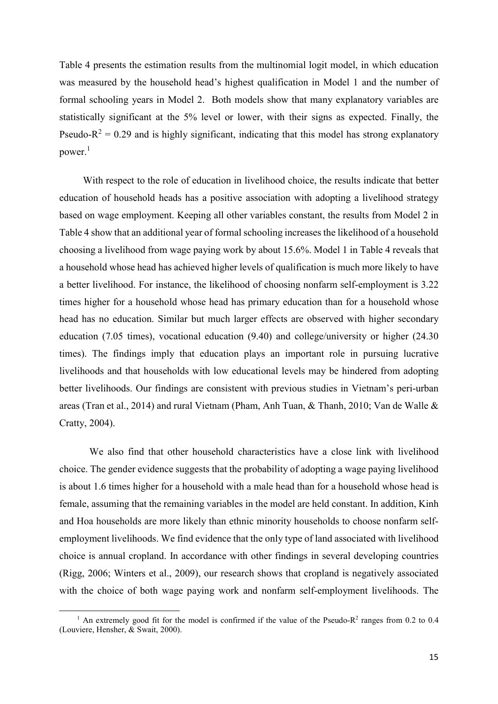Table 4 presents the estimation results from the multinomial logit model, in which education was measured by the household head's highest qualification in Model 1 and the number of formal schooling years in Model 2. Both models show that many explanatory variables are statistically significant at the 5% level or lower, with their signs as expected. Finally, the Pseudo- $R^2 = 0.29$  and is highly significant, indicating that this model has strong explanatory power. $^1$ 

 With respect to the role of education in livelihood choice, the results indicate that better education of household heads has a positive association with adopting a livelihood strategy based on wage employment. Keeping all other variables constant, the results from Model 2 in Table 4 show that an additional year of formal schooling increases the likelihood of a household choosing a livelihood from wage paying work by about 15.6%. Model 1 in Table 4 reveals that a household whose head has achieved higher levels of qualification is much more likely to have a better livelihood. For instance, the likelihood of choosing nonfarm self-employment is 3.22 times higher for a household whose head has primary education than for a household whose head has no education. Similar but much larger effects are observed with higher secondary education (7.05 times), vocational education (9.40) and college/university or higher (24.30 times). The findings imply that education plays an important role in pursuing lucrative livelihoods and that households with low educational levels may be hindered from adopting better livelihoods. Our findings are consistent with previous studies in Vietnam's peri-urban areas (Tran et al., 2014) and rural Vietnam (Pham, Anh Tuan, & Thanh, 2010; Van de Walle & Cratty, 2004).

We also find that other household characteristics have a close link with livelihood choice. The gender evidence suggests that the probability of adopting a wage paying livelihood is about 1.6 times higher for a household with a male head than for a household whose head is female, assuming that the remaining variables in the model are held constant. In addition, Kinh and Hoa households are more likely than ethnic minority households to choose nonfarm selfemployment livelihoods. We find evidence that the only type of land associated with livelihood choice is annual cropland. In accordance with other findings in several developing countries (Rigg, 2006; Winters et al., 2009), our research shows that cropland is negatively associated with the choice of both wage paying work and nonfarm self-employment livelihoods. The

<u>.</u>

<sup>&</sup>lt;sup>1</sup> An extremely good fit for the model is confirmed if the value of the Pseudo-R<sup>2</sup> ranges from 0.2 to 0.4 (Louviere, Hensher, & Swait, 2000).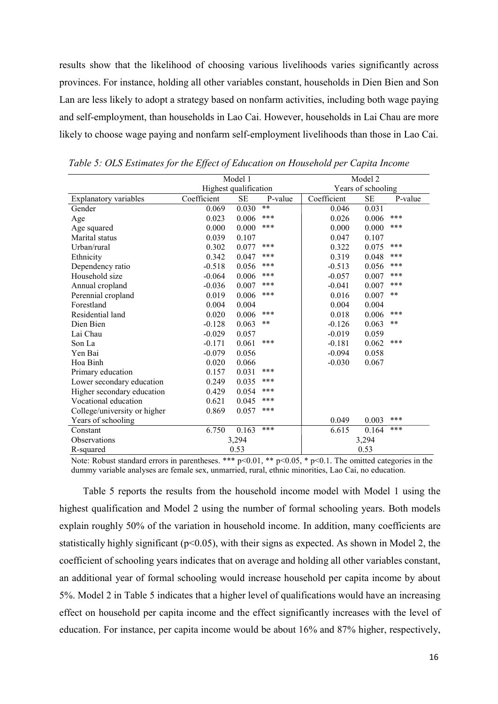results show that the likelihood of choosing various livelihoods varies significantly across provinces. For instance, holding all other variables constant, households in Dien Bien and Son Lan are less likely to adopt a strategy based on nonfarm activities, including both wage paying and self-employment, than households in Lao Cai. However, households in Lai Chau are more likely to choose wage paying and nonfarm self-employment livelihoods than those in Lao Cai.

|                              |                       | Model 1   |         | Model 2            |           |         |  |
|------------------------------|-----------------------|-----------|---------|--------------------|-----------|---------|--|
|                              | Highest qualification |           |         | Years of schooling |           |         |  |
| Explanatory variables        | Coefficient           | <b>SE</b> | P-value | Coefficient        | <b>SE</b> | P-value |  |
| Gender                       | 0.069                 | 0.030     | **      | 0.046              | 0.031     |         |  |
| Age                          | 0.023                 | 0.006     | ***     | 0.026              | 0.006     | ***     |  |
| Age squared                  | 0.000                 | 0.000     | ***     | 0.000              | 0.000     | ***     |  |
| Marital status               | 0.039                 | 0.107     |         | 0.047              | 0.107     |         |  |
| Urban/rural                  | 0.302                 | 0.077     | ***     | 0.322              | 0.075     | ***     |  |
| Ethnicity                    | 0.342                 | 0.047     | ***     | 0.319              | 0.048     | ***     |  |
| Dependency ratio             | $-0.518$              | 0.056     | ***     | $-0.513$           | 0.056     | ***     |  |
| Household size               | $-0.064$              | 0.006     | ***     | $-0.057$           | 0.007     | ***     |  |
| Annual cropland              | $-0.036$              | 0.007     | ***     | $-0.041$           | 0.007     | ***     |  |
| Perennial cropland           | 0.019                 | 0.006     | ***     | 0.016              | 0.007     | **      |  |
| Forestland                   | 0.004                 | 0.004     |         | 0.004              | 0.004     |         |  |
| Residential land             | 0.020                 | 0.006     | ***     | 0.018              | 0.006     | ***     |  |
| Dien Bien                    | $-0.128$              | 0.063     | $***$   | $-0.126$           | 0.063     | $***$   |  |
| Lai Chau                     | $-0.029$              | 0.057     |         | $-0.019$           | 0.059     |         |  |
| Son La                       | $-0.171$              | 0.061     | ***     | $-0.181$           | 0.062     | ***     |  |
| Yen Bai                      | $-0.079$              | 0.056     |         | $-0.094$           | 0.058     |         |  |
| Hoa Binh                     | 0.020                 | 0.066     |         | $-0.030$           | 0.067     |         |  |
| Primary education            | 0.157                 | 0.031     | ***     |                    |           |         |  |
| Lower secondary education    | 0.249                 | 0.035     | ***     |                    |           |         |  |
| Higher secondary education   | 0.429                 | 0.054     | ***     |                    |           |         |  |
| Vocational education         | 0.621                 | 0.045     | ***     |                    |           |         |  |
| College/university or higher | 0.869                 | 0.057     | ***     |                    |           |         |  |
| Years of schooling           |                       |           |         | 0.049              | 0.003     | ***     |  |
| Constant                     | 6.750                 | 0.163     | ***     | 6.615              | 0.164     | ***     |  |
| Observations                 |                       | 3.294     |         | 3,294              |           |         |  |
| R-squared                    | 0.53                  |           |         | 0.53               |           |         |  |

Table 5: OLS Estimates for the Effect of Education on Household per Capita Income

Note: Robust standard errors in parentheses. \*\*\* p<0.01, \*\* p<0.05, \* p<0.1. The omitted categories in the dummy variable analyses are female sex, unmarried, rural, ethnic minorities, Lao Cai, no education.

Table 5 reports the results from the household income model with Model 1 using the highest qualification and Model 2 using the number of formal schooling years. Both models explain roughly 50% of the variation in household income. In addition, many coefficients are statistically highly significant ( $p<0.05$ ), with their signs as expected. As shown in Model 2, the coefficient of schooling years indicates that on average and holding all other variables constant, an additional year of formal schooling would increase household per capita income by about 5%. Model 2 in Table 5 indicates that a higher level of qualifications would have an increasing effect on household per capita income and the effect significantly increases with the level of education. For instance, per capita income would be about 16% and 87% higher, respectively,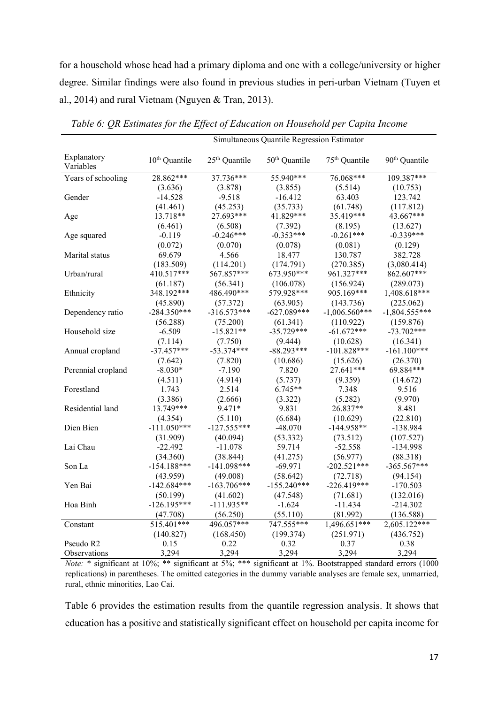for a household whose head had a primary diploma and one with a college/university or higher degree. Similar findings were also found in previous studies in peri-urban Vietnam (Tuyen et al., 2014) and rural Vietnam (Nguyen & Tran, 2013).

Simultaneous Quantile Regression Estimator

| Explanatory<br>Variables | $10th$ Quantile | 25 <sup>th</sup> Quantile | 50 <sup>th</sup> Quantile | 75 <sup>th</sup> Quantile | 90 <sup>th</sup> Quantile |
|--------------------------|-----------------|---------------------------|---------------------------|---------------------------|---------------------------|
| Years of schooling       | 28.862***       | 37.736***                 | 55.940***                 | 76.068***                 | $109.387***$              |
|                          | (3.636)         | (3.878)                   | (3.855)                   | (5.514)                   | (10.753)                  |
| Gender                   | $-14.528$       | $-9.518$                  | $-16.412$                 | 63.403                    | 123.742                   |
|                          | (41.461)        | (45.253)                  | (35.733)                  | (61.748)                  | (117.812)                 |
| Age                      | 13.718**        | 27.693***                 | 41.829***                 | 35.419***                 | 43.667***                 |
|                          | (6.461)         | (6.508)                   | (7.392)                   | (8.195)                   | (13.627)                  |
| Age squared              | $-0.119$        | $-0.246***$               | $-0.353***$               | $-0.261***$               | $-0.339***$               |
|                          | (0.072)         | (0.070)                   | (0.078)                   | (0.081)                   | (0.129)                   |
| Marital status           | 69.679          | 4.566                     | 18.477                    | 130.787                   | 382.728                   |
|                          | (183.509)       | (114.201)                 | (174.791)                 | (270.385)                 | (3,080.414)               |
| Urban/rural              | 410.517***      | 567.857***                | 673.950***                | 961.327***                | 862.607***                |
|                          | (61.187)        | (56.341)                  | (106.078)                 | (156.924)                 | (289.073)                 |
| Ethnicity                | 348.192***      | 486.490***                | 579.928***                | 905.169***                | 1,408.618***              |
|                          | (45.890)        | (57.372)                  | (63.905)                  | (143.736)                 | (225.062)                 |
| Dependency ratio         | $-284.350***$   | $-316.573***$             | $-627.089***$             | $-1,006.560***$           | $-1,804.555***$           |
|                          | (56.288)        | (75.200)                  | (61.341)                  | (110.922)                 | (159.876)                 |
| Household size           | $-6.509$        | $-15.821**$               | $-35.729***$              | $-61.672***$              | $-73.702***$              |
|                          | (7.114)         | (7.750)                   | (9.444)                   | (10.628)                  | (16.341)                  |
| Annual cropland          | $-37.457***$    | $-53.374***$              | $-88.293***$              | $-101.828***$             | $-161.100***$             |
|                          | (7.642)         | (7.820)                   | (10.686)                  | (15.626)                  | (26.370)                  |
| Perennial cropland       | $-8.030*$       | $-7.190$                  | 7.820                     | 27.641***                 | 69.884***                 |
|                          | (4.511)         | (4.914)                   | (5.737)                   | (9.359)                   | (14.672)                  |
| Forestland               | 1.743           | 2.514                     | $6.745**$                 | 7.348                     | 9.516                     |
|                          | (3.386)         | (2.666)                   | (3.322)                   | (5.282)                   | (9.970)                   |
| Residential land         | 13.749***       | 9.471*                    | 9.831                     | 26.837**                  | 8.481                     |
|                          | (4.354)         | (5.110)                   | (6.684)                   | (10.629)                  | (22.810)                  |
| Dien Bien                | $-111.050***$   | $-127.555***$             | $-48.070$                 | $-144.958**$              | $-138.984$                |
|                          | (31.909)        | (40.094)                  | (53.332)                  | (73.512)                  | (107.527)                 |
| Lai Chau                 | $-22.492$       | $-11.078$                 | 59.714                    | $-52.558$                 | $-134.998$                |
|                          | (34.360)        | (38.844)                  | (41.275)                  | (56.977)                  | (88.318)                  |
| Son La                   | $-154.188***$   | $-141.098***$             | $-69.971$                 | $-202.521***$             | $-365.567***$             |
|                          | (43.959)        | (49.008)                  | (58.642)                  | (72.718)                  | (94.154)                  |
| Yen Bai                  | $-142.684***$   | $-163.706***$             | $-155.240***$             | $-226.419***$             | $-170.503$                |
|                          | (50.199)        | (41.602)                  | (47.548)                  | (71.681)                  | (132.016)                 |
| Hoa Binh                 | $-126.195***$   | $-111.935**$              | $-1.624$                  | $-11.434$                 | $-214.302$                |
|                          | (47.708)        | (56.250)                  | (55.110)                  | (81.992)                  | (136.588)                 |
| Constant                 | $515.401***$    | 496.057***                | 747.555***                | $1,496.651***$            | 2,605.122***              |
|                          | (140.827)       | (168.450)                 | (199.374)                 | (251.971)                 | (436.752)                 |
| Pseudo R <sub>2</sub>    | 0.15            | 0.22                      | 0.32                      | 0.37                      | 0.38                      |
| Observations             | 3,294           | 3,294                     | 3,294                     | 3,294                     | 3,294                     |

Table 6: QR Estimates for the Effect of Education on Household per Capita Income

Note: \* significant at 10%; \*\* significant at 5%; \*\*\* significant at 1%. Bootstrapped standard errors (1000 replications) in parentheses. The omitted categories in the dummy variable analyses are female sex, unmarried, rural, ethnic minorities, Lao Cai.

Table 6 provides the estimation results from the quantile regression analysis. It shows that education has a positive and statistically significant effect on household per capita income for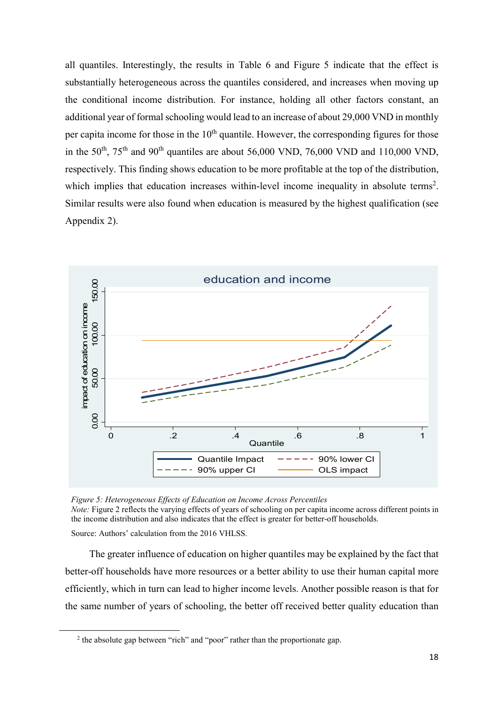all quantiles. Interestingly, the results in Table 6 and Figure 5 indicate that the effect is substantially heterogeneous across the quantiles considered, and increases when moving up the conditional income distribution. For instance, holding all other factors constant, an additional year of formal schooling would lead to an increase of about 29,000 VND in monthly per capita income for those in the  $10<sup>th</sup>$  quantile. However, the corresponding figures for those in the 50<sup>th</sup>, 75<sup>th</sup> and 90<sup>th</sup> quantiles are about 56,000 VND, 76,000 VND and 110,000 VND, respectively. This finding shows education to be more profitable at the top of the distribution, which implies that education increases within-level income inequality in absolute terms<sup>2</sup>. Similar results were also found when education is measured by the highest qualification (see Appendix 2).



Figure 5: Heterogeneous Effects of Education on Income Across Percentiles Note: Figure 2 reflects the varying effects of years of schooling on per capita income across different points in the income distribution and also indicates that the effect is greater for better-off households.

Source: Authors' calculation from the 2016 VHLSS.

<u>.</u>

The greater influence of education on higher quantiles may be explained by the fact that better-off households have more resources or a better ability to use their human capital more efficiently, which in turn can lead to higher income levels. Another possible reason is that for the same number of years of schooling, the better off received better quality education than

 $2$  the absolute gap between "rich" and "poor" rather than the proportionate gap.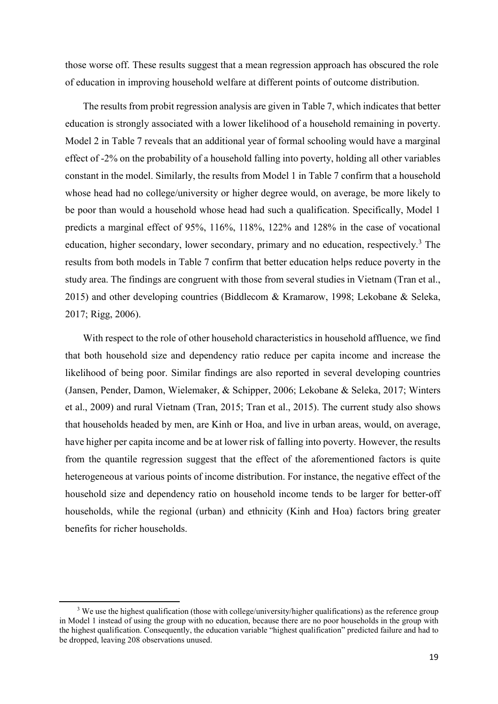those worse off. These results suggest that a mean regression approach has obscured the role of education in improving household welfare at different points of outcome distribution.

The results from probit regression analysis are given in Table 7, which indicates that better education is strongly associated with a lower likelihood of a household remaining in poverty. Model 2 in Table 7 reveals that an additional year of formal schooling would have a marginal effect of -2% on the probability of a household falling into poverty, holding all other variables constant in the model. Similarly, the results from Model 1 in Table 7 confirm that a household whose head had no college/university or higher degree would, on average, be more likely to be poor than would a household whose head had such a qualification. Specifically, Model 1 predicts a marginal effect of 95%, 116%, 118%, 122% and 128% in the case of vocational education, higher secondary, lower secondary, primary and no education, respectively.<sup>3</sup> The results from both models in Table 7 confirm that better education helps reduce poverty in the study area. The findings are congruent with those from several studies in Vietnam (Tran et al., 2015) and other developing countries (Biddlecom & Kramarow, 1998; Lekobane & Seleka, 2017; Rigg, 2006).

With respect to the role of other household characteristics in household affluence, we find that both household size and dependency ratio reduce per capita income and increase the likelihood of being poor. Similar findings are also reported in several developing countries (Jansen, Pender, Damon, Wielemaker, & Schipper, 2006; Lekobane & Seleka, 2017; Winters et al., 2009) and rural Vietnam (Tran, 2015; Tran et al., 2015). The current study also shows that households headed by men, are Kinh or Hoa, and live in urban areas, would, on average, have higher per capita income and be at lower risk of falling into poverty. However, the results from the quantile regression suggest that the effect of the aforementioned factors is quite heterogeneous at various points of income distribution. For instance, the negative effect of the household size and dependency ratio on household income tends to be larger for better-off households, while the regional (urban) and ethnicity (Kinh and Hoa) factors bring greater benefits for richer households.

 $\overline{a}$ 

 $3$  We use the highest qualification (those with college/university/higher qualifications) as the reference group in Model 1 instead of using the group with no education, because there are no poor households in the group with the highest qualification. Consequently, the education variable "highest qualification" predicted failure and had to be dropped, leaving 208 observations unused.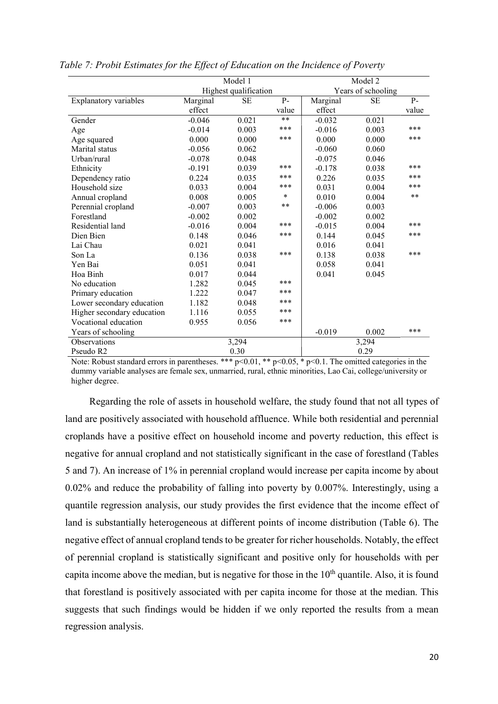|                            |                       | Model 1   |        | Model 2            |           |       |  |
|----------------------------|-----------------------|-----------|--------|--------------------|-----------|-------|--|
|                            | Highest qualification |           |        | Years of schooling |           |       |  |
| Explanatory variables      | Marginal              | <b>SE</b> | $P -$  | Marginal           | <b>SE</b> | $P-$  |  |
|                            | effect                |           | value  | effect             |           | value |  |
| Gender                     | $-0.046$              | 0.021     | $**$   | $-0.032$           | 0.021     |       |  |
| Age                        | $-0.014$              | 0.003     | ***    | $-0.016$           | 0.003     | ***   |  |
| Age squared                | 0.000                 | 0.000     | ***    | 0.000              | 0.000     | ***   |  |
| Marital status             | $-0.056$              | 0.062     |        | $-0.060$           | 0.060     |       |  |
| Urban/rural                | $-0.078$              | 0.048     |        | $-0.075$           | 0.046     |       |  |
| Ethnicity                  | $-0.191$              | 0.039     | ***    | $-0.178$           | 0.038     | ***   |  |
| Dependency ratio           | 0.224                 | 0.035     | ***    | 0.226              | 0.035     | ***   |  |
| Household size             | 0.033                 | 0.004     | ***    | 0.031              | 0.004     | ***   |  |
| Annual cropland            | 0.008                 | 0.005     | $\ast$ | 0.010              | 0.004     | **    |  |
| Perennial cropland         | $-0.007$              | 0.003     | $***$  | $-0.006$           | 0.003     |       |  |
| Forestland                 | $-0.002$              | 0.002     |        | $-0.002$           | 0.002     |       |  |
| Residential land           | $-0.016$              | 0.004     | ***    | $-0.015$           | 0.004     | ***   |  |
| Dien Bien                  | 0.148                 | 0.046     | ***    | 0.144              | 0.045     | ***   |  |
| Lai Chau                   | 0.021                 | 0.041     |        | 0.016              | 0.041     |       |  |
| Son La                     | 0.136                 | 0.038     | ***    | 0.138              | 0.038     | ***   |  |
| Yen Bai                    | 0.051                 | 0.041     |        | 0.058              | 0.041     |       |  |
| Hoa Binh                   | 0.017                 | 0.044     |        | 0.041              | 0.045     |       |  |
| No education               | 1.282                 | 0.045     | ***    |                    |           |       |  |
| Primary education          | 1.222                 | 0.047     | ***    |                    |           |       |  |
| Lower secondary education  | 1.182                 | 0.048     | ***    |                    |           |       |  |
| Higher secondary education | 1.116                 | 0.055     | ***    |                    |           |       |  |
| Vocational education       | 0.955                 | 0.056     | ***    |                    |           |       |  |
| Years of schooling         |                       |           |        | $-0.019$           | 0.002     | ***   |  |
| Observations               |                       | 3,294     |        |                    | 3,294     |       |  |
| Pseudo R2                  |                       | 0.30      |        | 0.29               |           |       |  |

|  |  |  |  |  |  | Table 7: Probit Estimates for the Effect of Education on the Incidence of Poverty |  |  |  |  |
|--|--|--|--|--|--|-----------------------------------------------------------------------------------|--|--|--|--|
|--|--|--|--|--|--|-----------------------------------------------------------------------------------|--|--|--|--|

Note: Robust standard errors in parentheses. \*\*\*  $p<0.01$ , \*\*  $p<0.05$ , \*  $p<0.1$ . The omitted categories in the dummy variable analyses are female sex, unmarried, rural, ethnic minorities, Lao Cai, college/university or higher degree.

Regarding the role of assets in household welfare, the study found that not all types of land are positively associated with household affluence. While both residential and perennial croplands have a positive effect on household income and poverty reduction, this effect is negative for annual cropland and not statistically significant in the case of forestland (Tables 5 and 7). An increase of 1% in perennial cropland would increase per capita income by about 0.02% and reduce the probability of falling into poverty by 0.007%. Interestingly, using a quantile regression analysis, our study provides the first evidence that the income effect of land is substantially heterogeneous at different points of income distribution (Table 6). The negative effect of annual cropland tends to be greater for richer households. Notably, the effect of perennial cropland is statistically significant and positive only for households with per capita income above the median, but is negative for those in the  $10<sup>th</sup>$  quantile. Also, it is found that forestland is positively associated with per capita income for those at the median. This suggests that such findings would be hidden if we only reported the results from a mean regression analysis.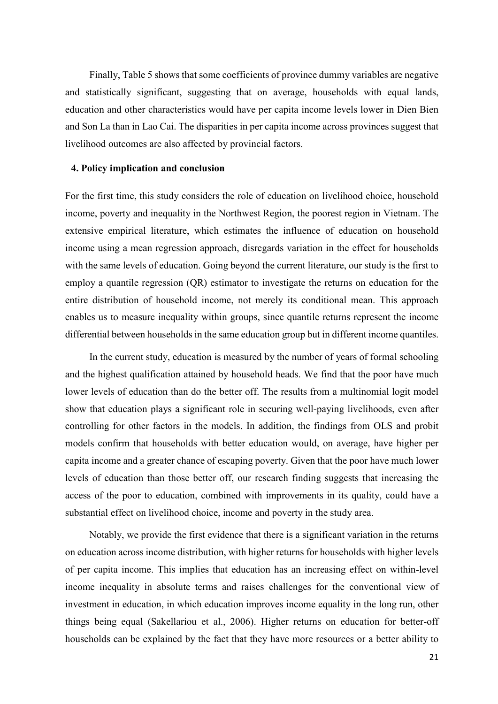Finally, Table 5 shows that some coefficients of province dummy variables are negative and statistically significant, suggesting that on average, households with equal lands, education and other characteristics would have per capita income levels lower in Dien Bien and Son La than in Lao Cai. The disparities in per capita income across provinces suggest that livelihood outcomes are also affected by provincial factors.

#### 4. Policy implication and conclusion

For the first time, this study considers the role of education on livelihood choice, household income, poverty and inequality in the Northwest Region, the poorest region in Vietnam. The extensive empirical literature, which estimates the influence of education on household income using a mean regression approach, disregards variation in the effect for households with the same levels of education. Going beyond the current literature, our study is the first to employ a quantile regression (QR) estimator to investigate the returns on education for the entire distribution of household income, not merely its conditional mean. This approach enables us to measure inequality within groups, since quantile returns represent the income differential between households in the same education group but in different income quantiles.

In the current study, education is measured by the number of years of formal schooling and the highest qualification attained by household heads. We find that the poor have much lower levels of education than do the better off. The results from a multinomial logit model show that education plays a significant role in securing well-paying livelihoods, even after controlling for other factors in the models. In addition, the findings from OLS and probit models confirm that households with better education would, on average, have higher per capita income and a greater chance of escaping poverty. Given that the poor have much lower levels of education than those better off, our research finding suggests that increasing the access of the poor to education, combined with improvements in its quality, could have a substantial effect on livelihood choice, income and poverty in the study area.

Notably, we provide the first evidence that there is a significant variation in the returns on education across income distribution, with higher returns for households with higher levels of per capita income. This implies that education has an increasing effect on within-level income inequality in absolute terms and raises challenges for the conventional view of investment in education, in which education improves income equality in the long run, other things being equal (Sakellariou et al., 2006). Higher returns on education for better-off households can be explained by the fact that they have more resources or a better ability to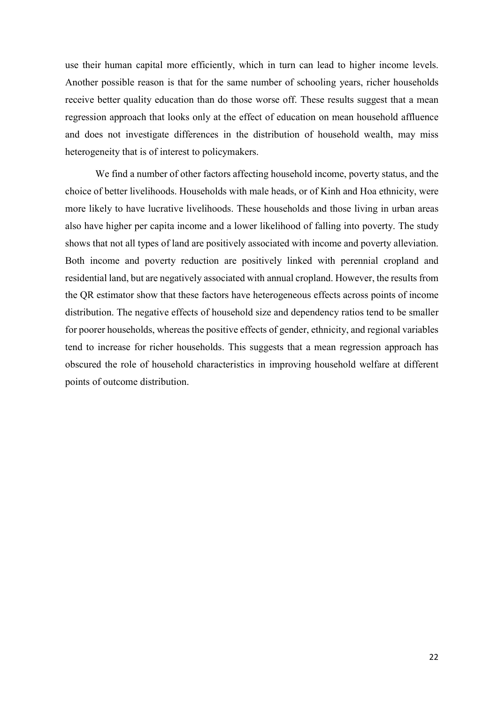use their human capital more efficiently, which in turn can lead to higher income levels. Another possible reason is that for the same number of schooling years, richer households receive better quality education than do those worse off. These results suggest that a mean regression approach that looks only at the effect of education on mean household affluence and does not investigate differences in the distribution of household wealth, may miss heterogeneity that is of interest to policymakers.

We find a number of other factors affecting household income, poverty status, and the choice of better livelihoods. Households with male heads, or of Kinh and Hoa ethnicity, were more likely to have lucrative livelihoods. These households and those living in urban areas also have higher per capita income and a lower likelihood of falling into poverty. The study shows that not all types of land are positively associated with income and poverty alleviation. Both income and poverty reduction are positively linked with perennial cropland and residential land, but are negatively associated with annual cropland. However, the results from the QR estimator show that these factors have heterogeneous effects across points of income distribution. The negative effects of household size and dependency ratios tend to be smaller for poorer households, whereas the positive effects of gender, ethnicity, and regional variables tend to increase for richer households. This suggests that a mean regression approach has obscured the role of household characteristics in improving household welfare at different points of outcome distribution.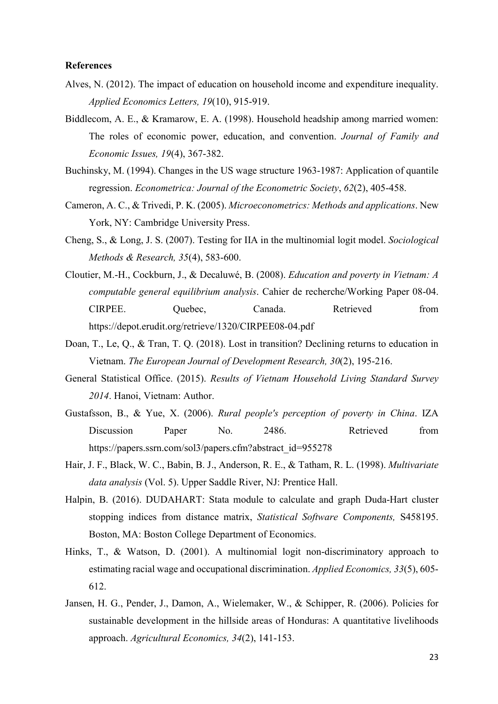#### **References**

- Alves, N. (2012). The impact of education on household income and expenditure inequality. Applied Economics Letters, 19(10), 915-919.
- Biddlecom, A. E., & Kramarow, E. A. (1998). Household headship among married women: The roles of economic power, education, and convention. Journal of Family and Economic Issues, 19(4), 367-382.
- Buchinsky, M. (1994). Changes in the US wage structure 1963-1987: Application of quantile regression. Econometrica: Journal of the Econometric Society, 62(2), 405-458.
- Cameron, A. C., & Trivedi, P. K. (2005). Microeconometrics: Methods and applications. New York, NY: Cambridge University Press.
- Cheng, S., & Long, J. S. (2007). Testing for IIA in the multinomial logit model. Sociological Methods & Research, 35(4), 583-600.
- Cloutier, M.-H., Cockburn, J., & Decaluwé, B. (2008). Education and poverty in Vietnam: A computable general equilibrium analysis. Cahier de recherche/Working Paper 08-04. CIRPEE. Quebec, Canada. Retrieved from https://depot.erudit.org/retrieve/1320/CIRPEE08-04.pdf
- Doan, T., Le, Q., & Tran, T. Q. (2018). Lost in transition? Declining returns to education in Vietnam. The European Journal of Development Research, 30(2), 195-216.
- General Statistical Office. (2015). Results of Vietnam Household Living Standard Survey 2014. Hanoi, Vietnam: Author.
- Gustafsson, B., & Yue, X. (2006). Rural people's perception of poverty in China. IZA Discussion Paper No. 2486. Retrieved from https://papers.ssrn.com/sol3/papers.cfm?abstract\_id=955278
- Hair, J. F., Black, W. C., Babin, B. J., Anderson, R. E., & Tatham, R. L. (1998). Multivariate data analysis (Vol. 5). Upper Saddle River, NJ: Prentice Hall.
- Halpin, B. (2016). DUDAHART: Stata module to calculate and graph Duda-Hart cluster stopping indices from distance matrix, Statistical Software Components, S458195. Boston, MA: Boston College Department of Economics.
- Hinks, T., & Watson, D. (2001). A multinomial logit non-discriminatory approach to estimating racial wage and occupational discrimination. Applied Economics, 33(5), 605- 612.
- Jansen, H. G., Pender, J., Damon, A., Wielemaker, W., & Schipper, R. (2006). Policies for sustainable development in the hillside areas of Honduras: A quantitative livelihoods approach. Agricultural Economics, 34(2), 141-153.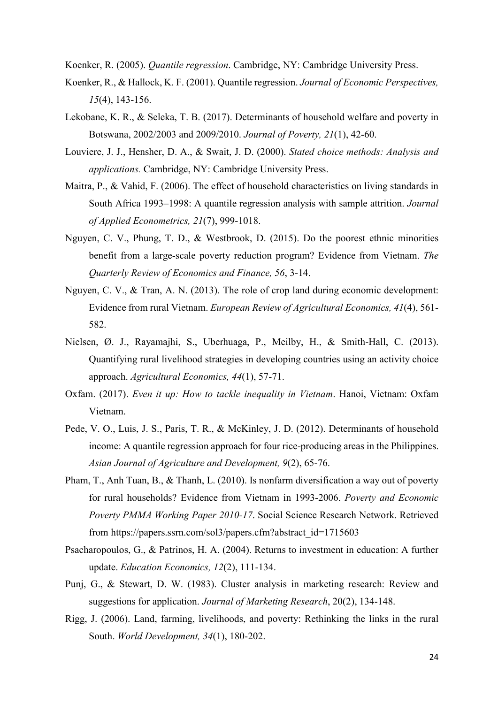Koenker, R. (2005). Quantile regression. Cambridge, NY: Cambridge University Press.

- Koenker, R., & Hallock, K. F. (2001). Quantile regression. Journal of Economic Perspectives, 15(4), 143-156.
- Lekobane, K. R., & Seleka, T. B. (2017). Determinants of household welfare and poverty in Botswana, 2002/2003 and 2009/2010. Journal of Poverty, 21(1), 42-60.
- Louviere, J. J., Hensher, D. A., & Swait, J. D. (2000). Stated choice methods: Analysis and applications. Cambridge, NY: Cambridge University Press.
- Maitra, P., & Vahid, F. (2006). The effect of household characteristics on living standards in South Africa 1993–1998: A quantile regression analysis with sample attrition. Journal of Applied Econometrics, 21(7), 999-1018.
- Nguyen, C. V., Phung, T. D., & Westbrook, D. (2015). Do the poorest ethnic minorities benefit from a large-scale poverty reduction program? Evidence from Vietnam. The Quarterly Review of Economics and Finance, 56, 3-14.
- Nguyen, C. V., & Tran, A. N. (2013). The role of crop land during economic development: Evidence from rural Vietnam. European Review of Agricultural Economics, 41(4), 561- 582.
- Nielsen, Ø. J., Rayamajhi, S., Uberhuaga, P., Meilby, H., & Smith‐Hall, C. (2013). Quantifying rural livelihood strategies in developing countries using an activity choice approach. Agricultural Economics, 44(1), 57-71.
- Oxfam. (2017). Even it up: How to tackle inequality in Vietnam. Hanoi, Vietnam: Oxfam Vietnam.
- Pede, V. O., Luis, J. S., Paris, T. R., & McKinley, J. D. (2012). Determinants of household income: A quantile regression approach for four rice-producing areas in the Philippines. Asian Journal of Agriculture and Development, 9(2), 65-76.
- Pham, T., Anh Tuan, B., & Thanh, L. (2010). Is nonfarm diversification a way out of poverty for rural households? Evidence from Vietnam in 1993-2006. Poverty and Economic Poverty PMMA Working Paper 2010-17. Social Science Research Network. Retrieved from https://papers.ssrn.com/sol3/papers.cfm?abstract\_id=1715603
- Psacharopoulos, G., & Patrinos, H. A. (2004). Returns to investment in education: A further update. Education Economics, 12(2), 111-134.
- Punj, G., & Stewart, D. W. (1983). Cluster analysis in marketing research: Review and suggestions for application. Journal of Marketing Research, 20(2), 134-148.
- Rigg, J. (2006). Land, farming, livelihoods, and poverty: Rethinking the links in the rural South. World Development, 34(1), 180-202.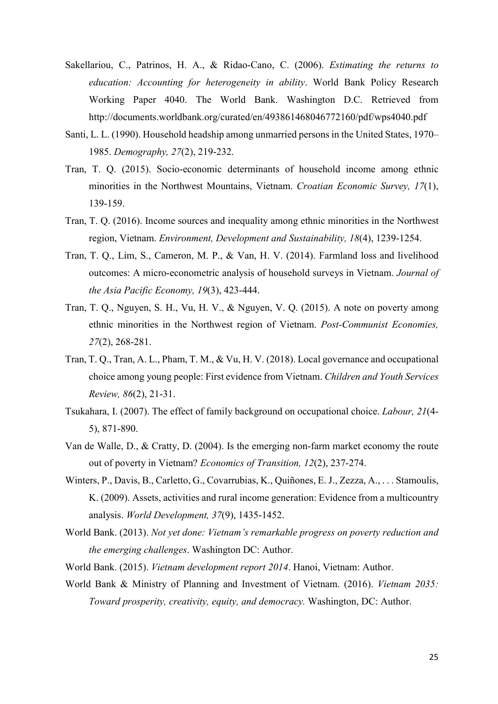- Sakellariou, C., Patrinos, H. A., & Ridao-Cano, C. (2006). Estimating the returns to education: Accounting for heterogeneity in ability. World Bank Policy Research Working Paper 4040. The World Bank. Washington D.C. Retrieved from http://documents.worldbank.org/curated/en/493861468046772160/pdf/wps4040.pdf
- Santi, L. L. (1990). Household headship among unmarried persons in the United States, 1970– 1985. Demography, 27(2), 219-232.
- Tran, T. Q. (2015). Socio-economic determinants of household income among ethnic minorities in the Northwest Mountains, Vietnam. Croatian Economic Survey, 17(1), 139-159.
- Tran, T. Q. (2016). Income sources and inequality among ethnic minorities in the Northwest region, Vietnam. Environment, Development and Sustainability, 18(4), 1239-1254.
- Tran, T. Q., Lim, S., Cameron, M. P., & Van, H. V. (2014). Farmland loss and livelihood outcomes: A micro-econometric analysis of household surveys in Vietnam. Journal of the Asia Pacific Economy, 19(3), 423-444.
- Tran, T. Q., Nguyen, S. H., Vu, H. V., & Nguyen, V. Q. (2015). A note on poverty among ethnic minorities in the Northwest region of Vietnam. Post-Communist Economies, 27(2), 268-281.
- Tran, T. Q., Tran, A. L., Pham, T. M., & Vu, H. V. (2018). Local governance and occupational choice among young people: First evidence from Vietnam. Children and Youth Services Review, 86(2), 21-31.
- Tsukahara, I. (2007). The effect of family background on occupational choice. Labour, 21(4‐ 5), 871-890.
- Van de Walle, D., & Cratty, D. (2004). Is the emerging non‐farm market economy the route out of poverty in Vietnam? Economics of Transition, 12(2), 237-274.
- Winters, P., Davis, B., Carletto, G., Covarrubias, K., Quiñones, E. J., Zezza, A., . . . Stamoulis, K. (2009). Assets, activities and rural income generation: Evidence from a multicountry analysis. World Development, 37(9), 1435-1452.
- World Bank. (2013). Not yet done: Vietnam's remarkable progress on poverty reduction and the emerging challenges. Washington DC: Author.
- World Bank. (2015). Vietnam development report 2014. Hanoi, Vietnam: Author.
- World Bank & Ministry of Planning and Investment of Vietnam. (2016). Vietnam 2035: Toward prosperity, creativity, equity, and democracy. Washington, DC: Author.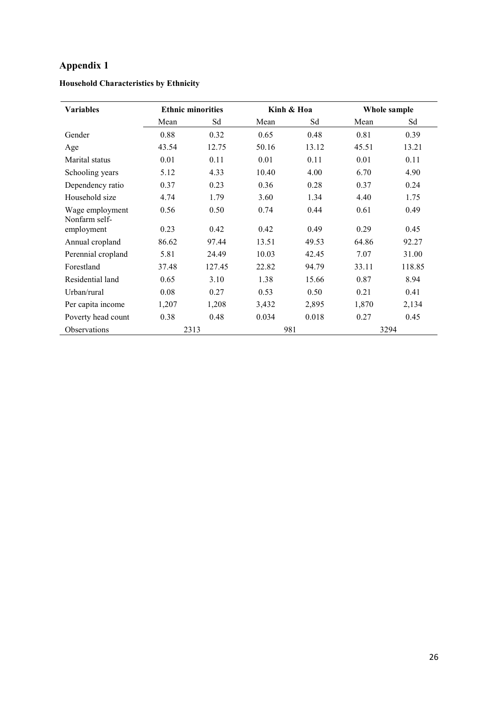# Appendix 1

| <b>Variables</b>                 |       | <b>Ethnic minorities</b> |       | Kinh & Hoa | Whole sample |        |  |
|----------------------------------|-------|--------------------------|-------|------------|--------------|--------|--|
|                                  | Mean  | Sd                       | Mean  | Sd         | Mean         | Sd     |  |
| Gender                           | 0.88  | 0.32                     | 0.65  | 0.48       | 0.81         | 0.39   |  |
| Age                              | 43.54 | 12.75                    | 50.16 | 13.12      | 45.51        | 13.21  |  |
| Marital status                   | 0.01  | 0.11                     | 0.01  | 0.11       | 0.01         | 0.11   |  |
| Schooling years                  | 5.12  | 4.33                     | 10.40 | 4.00       | 6.70         | 4.90   |  |
| Dependency ratio                 | 0.37  | 0.23                     | 0.36  | 0.28       | 0.37         | 0.24   |  |
| Household size                   | 4.74  | 1.79                     | 3.60  | 1.34       | 4.40         | 1.75   |  |
| Wage employment<br>Nonfarm self- | 0.56  | 0.50                     | 0.74  | 0.44       | 0.61         | 0.49   |  |
| employment                       | 0.23  | 0.42                     | 0.42  | 0.49       | 0.29         | 0.45   |  |
| Annual cropland                  | 86.62 | 97.44                    | 13.51 | 49.53      | 64.86        | 92.27  |  |
| Perennial cropland               | 5.81  | 24.49                    | 10.03 | 42.45      | 7.07         | 31.00  |  |
| Forestland                       | 37.48 | 127.45                   | 22.82 | 94.79      | 33.11        | 118.85 |  |
| Residential land                 | 0.65  | 3.10                     | 1.38  | 15.66      | 0.87         | 8.94   |  |
| Urban/rural                      | 0.08  | 0.27                     | 0.53  | 0.50       | 0.21         | 0.41   |  |
| Per capita income                | 1,207 | 1,208                    | 3,432 | 2,895      | 1,870        | 2,134  |  |
| Poverty head count               | 0.38  | 0.48                     | 0.034 | 0.018      | 0.27         | 0.45   |  |
| Observations                     | 2313  |                          | 981   |            |              | 3294   |  |

## Household Characteristics by Ethnicity